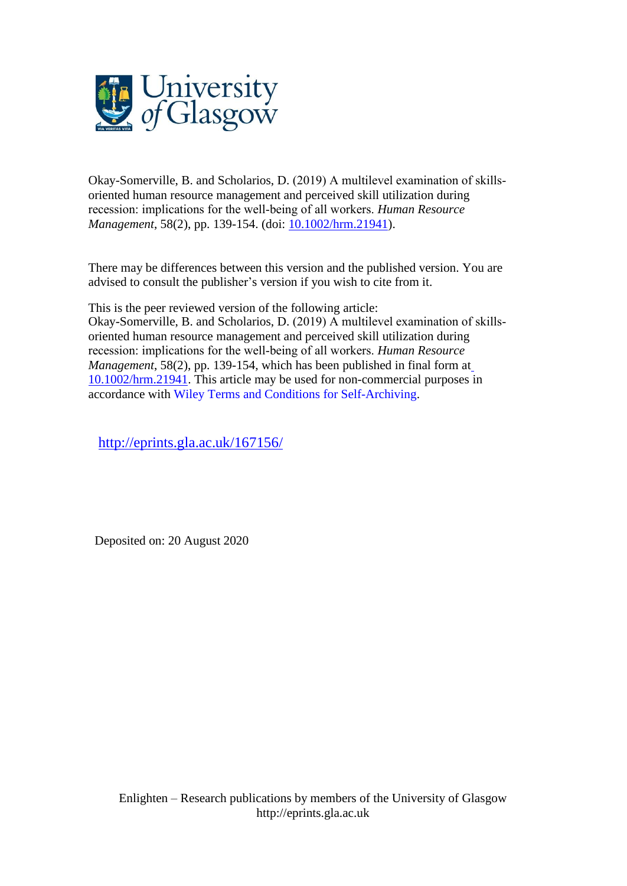

Okay-Somerville, B. and Scholarios, D. (2019) A multilevel examination of skills‐ oriented human resource management and perceived skill utilization during recession: implications for the well‐being of all workers. *Human Resource Management*, 58(2), pp. 139-154. (doi: [10.1002/hrm.21941\)](http://dx.doi.org/10.1002/hrm.21941).

There may be differences between this version and the published version. You are advised to consult the publisher's version if you wish to cite from it.

This is the peer reviewed version of the following article: Okay-Somerville, B. and Scholarios, D. (2019) A multilevel examination of skills‐ oriented human resource management and perceived skill utilization during recession: implications for the well‐being of all workers. *Human Resource Management*, 58(2), pp. 139-154, which has been published in final form at [10.1002/hrm.21941.](http://dx.doi.org/10.1002/hrm.21941) This article may be used for non-commercial purposes in accordance with Wiley Terms and Conditions for [Self-Archiving.](http://olabout.wiley.com/WileyCDA/Section/id-828039.html#terms)

<http://eprints.gla.ac.uk/167156/>

Deposited on: 20 August 2020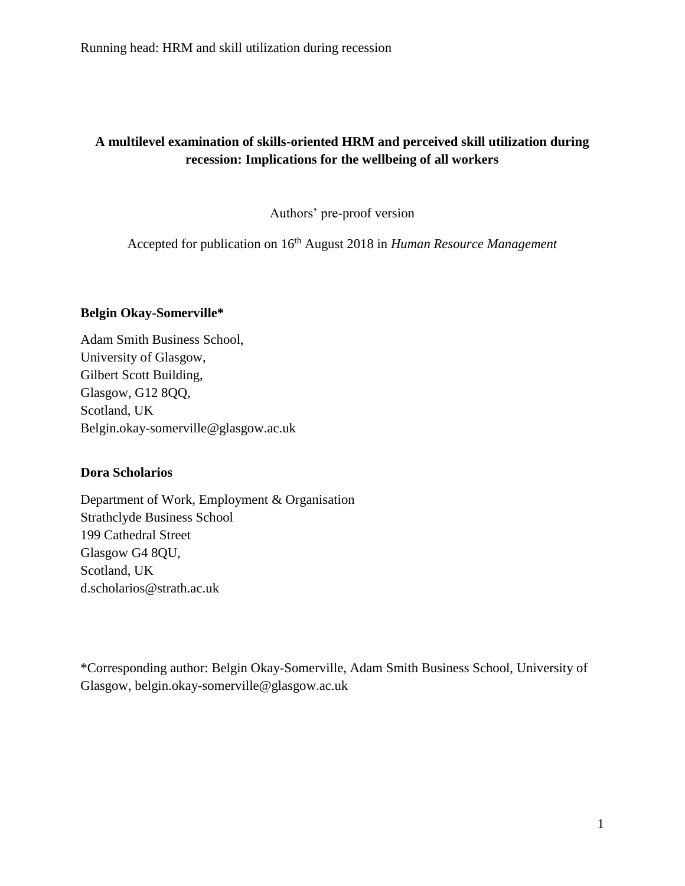# **A multilevel examination of skills-oriented HRM and perceived skill utilization during recession: Implications for the wellbeing of all workers**

Authors' pre-proof version

Accepted for publication on 16th August 2018 in *Human Resource Management*

## **Belgin Okay-Somerville\***

Adam Smith Business School, University of Glasgow, Gilbert Scott Building, Glasgow, G12 8QQ, Scotland, UK Belgin.okay-somerville@glasgow.ac.uk

## **Dora Scholarios**

Department of Work, Employment & Organisation Strathclyde Business School 199 Cathedral Street Glasgow G4 8QU, Scotland, UK d.scholarios@strath.ac.uk

\*Corresponding author: Belgin Okay-Somerville, Adam Smith Business School, University of Glasgow, belgin.okay-somerville@glasgow.ac.uk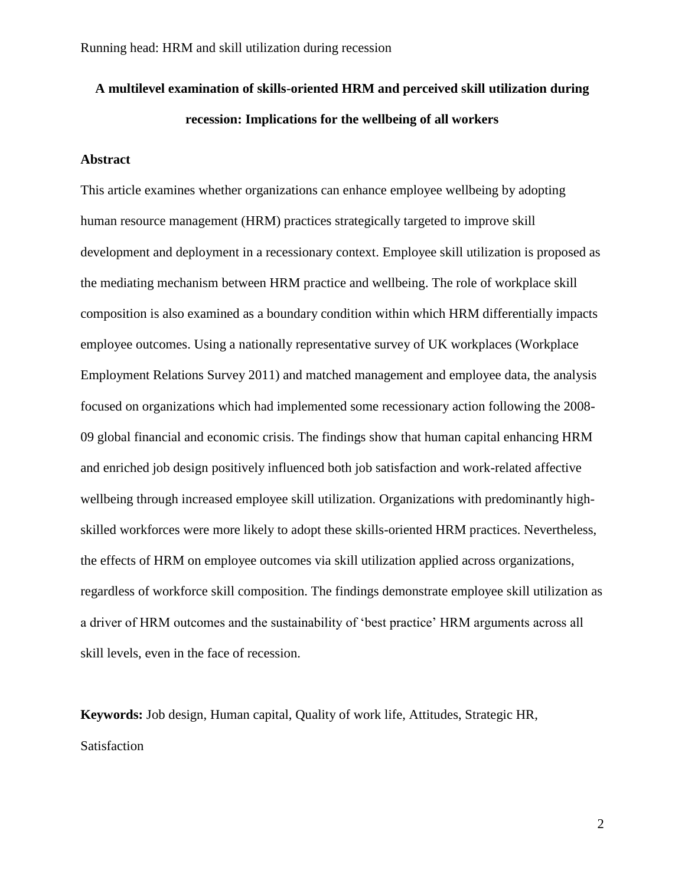# **A multilevel examination of skills-oriented HRM and perceived skill utilization during recession: Implications for the wellbeing of all workers**

## **Abstract**

This article examines whether organizations can enhance employee wellbeing by adopting human resource management (HRM) practices strategically targeted to improve skill development and deployment in a recessionary context. Employee skill utilization is proposed as the mediating mechanism between HRM practice and wellbeing. The role of workplace skill composition is also examined as a boundary condition within which HRM differentially impacts employee outcomes. Using a nationally representative survey of UK workplaces (Workplace Employment Relations Survey 2011) and matched management and employee data, the analysis focused on organizations which had implemented some recessionary action following the 2008- 09 global financial and economic crisis. The findings show that human capital enhancing HRM and enriched job design positively influenced both job satisfaction and work-related affective wellbeing through increased employee skill utilization. Organizations with predominantly highskilled workforces were more likely to adopt these skills-oriented HRM practices. Nevertheless, the effects of HRM on employee outcomes via skill utilization applied across organizations, regardless of workforce skill composition. The findings demonstrate employee skill utilization as a driver of HRM outcomes and the sustainability of 'best practice' HRM arguments across all skill levels, even in the face of recession.

**Keywords:** Job design, Human capital, Quality of work life, Attitudes, Strategic HR, Satisfaction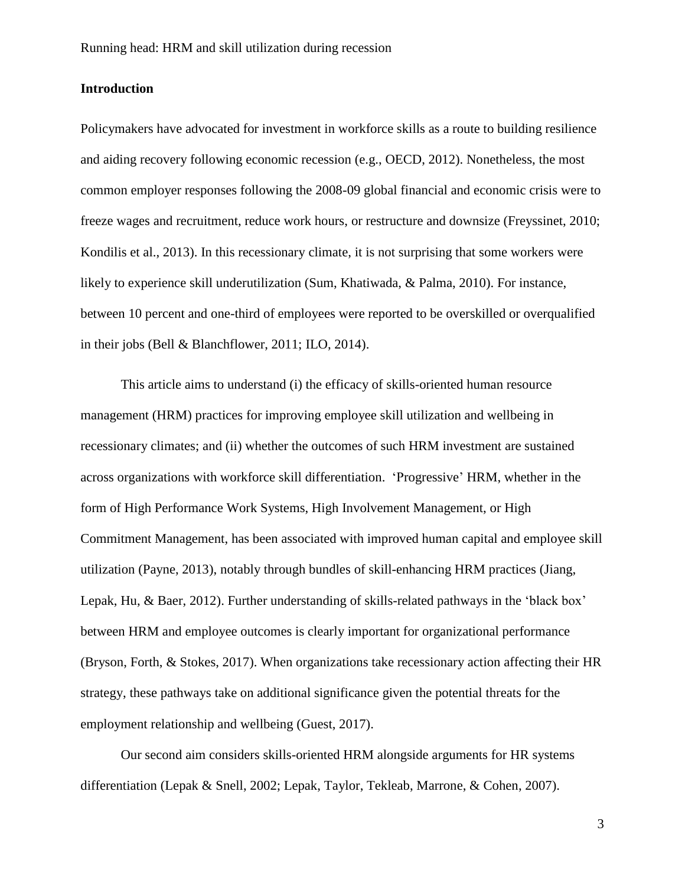## **Introduction**

Policymakers have advocated for investment in workforce skills as a route to building resilience and aiding recovery following economic recession (e.g., OECD, 2012). Nonetheless, the most common employer responses following the 2008-09 global financial and economic crisis were to freeze wages and recruitment, reduce work hours, or restructure and downsize (Freyssinet, 2010; Kondilis et al., 2013). In this recessionary climate, it is not surprising that some workers were likely to experience skill underutilization (Sum, Khatiwada, & Palma, 2010). For instance, between 10 percent and one-third of employees were reported to be overskilled or overqualified in their jobs (Bell & Blanchflower, 2011; ILO, 2014).

This article aims to understand (i) the efficacy of skills-oriented human resource management (HRM) practices for improving employee skill utilization and wellbeing in recessionary climates; and (ii) whether the outcomes of such HRM investment are sustained across organizations with workforce skill differentiation. 'Progressive' HRM, whether in the form of High Performance Work Systems, High Involvement Management, or High Commitment Management, has been associated with improved human capital and employee skill utilization (Payne, 2013), notably through bundles of skill-enhancing HRM practices (Jiang, Lepak, Hu, & Baer, 2012). Further understanding of skills-related pathways in the 'black box' between HRM and employee outcomes is clearly important for organizational performance (Bryson, Forth, & Stokes, 2017). When organizations take recessionary action affecting their HR strategy, these pathways take on additional significance given the potential threats for the employment relationship and wellbeing (Guest, 2017).

Our second aim considers skills-oriented HRM alongside arguments for HR systems differentiation (Lepak & Snell, 2002; Lepak, Taylor, Tekleab, Marrone, & Cohen, 2007).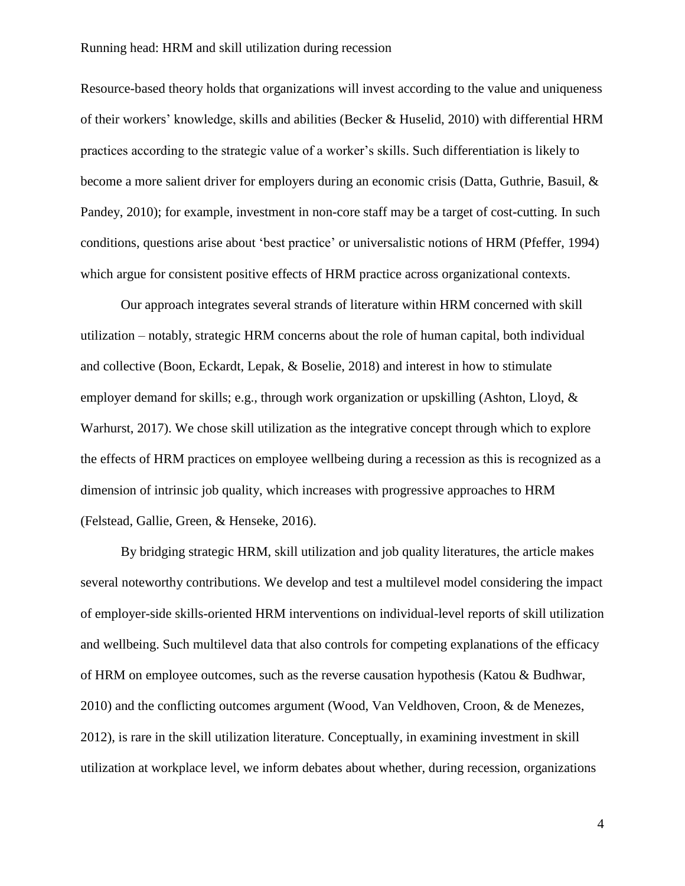Resource-based theory holds that organizations will invest according to the value and uniqueness of their workers' knowledge, skills and abilities (Becker & Huselid, 2010) with differential HRM practices according to the strategic value of a worker's skills. Such differentiation is likely to become a more salient driver for employers during an economic crisis (Datta, Guthrie, Basuil, & Pandey, 2010); for example, investment in non-core staff may be a target of cost-cutting. In such conditions, questions arise about 'best practice' or universalistic notions of HRM (Pfeffer, 1994) which argue for consistent positive effects of HRM practice across organizational contexts.

Our approach integrates several strands of literature within HRM concerned with skill utilization – notably, strategic HRM concerns about the role of human capital, both individual and collective (Boon, Eckardt, Lepak, & Boselie, 2018) and interest in how to stimulate employer demand for skills; e.g., through work organization or upskilling (Ashton, Lloyd, & Warhurst, 2017). We chose skill utilization as the integrative concept through which to explore the effects of HRM practices on employee wellbeing during a recession as this is recognized as a dimension of intrinsic job quality, which increases with progressive approaches to HRM (Felstead, Gallie, Green, & Henseke, 2016).

By bridging strategic HRM, skill utilization and job quality literatures, the article makes several noteworthy contributions. We develop and test a multilevel model considering the impact of employer-side skills-oriented HRM interventions on individual-level reports of skill utilization and wellbeing. Such multilevel data that also controls for competing explanations of the efficacy of HRM on employee outcomes, such as the reverse causation hypothesis (Katou & Budhwar, 2010) and the conflicting outcomes argument (Wood, Van Veldhoven, Croon, & de Menezes, 2012), is rare in the skill utilization literature. Conceptually, in examining investment in skill utilization at workplace level, we inform debates about whether, during recession, organizations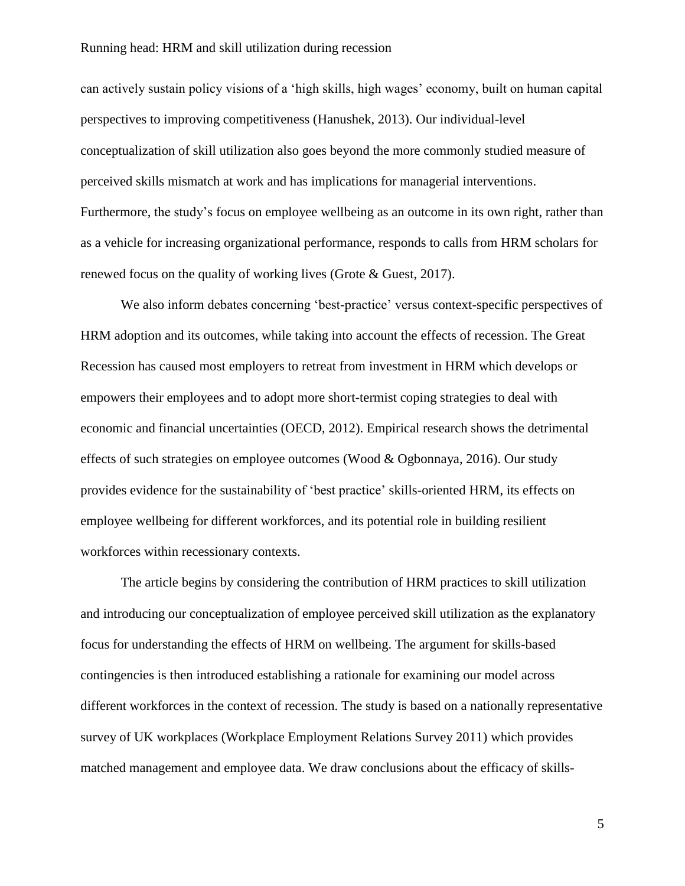can actively sustain policy visions of a 'high skills, high wages' economy, built on human capital perspectives to improving competitiveness (Hanushek, 2013). Our individual-level conceptualization of skill utilization also goes beyond the more commonly studied measure of perceived skills mismatch at work and has implications for managerial interventions. Furthermore, the study's focus on employee wellbeing as an outcome in its own right, rather than as a vehicle for increasing organizational performance, responds to calls from HRM scholars for renewed focus on the quality of working lives (Grote & Guest, 2017).

We also inform debates concerning 'best-practice' versus context-specific perspectives of HRM adoption and its outcomes, while taking into account the effects of recession. The Great Recession has caused most employers to retreat from investment in HRM which develops or empowers their employees and to adopt more short-termist coping strategies to deal with economic and financial uncertainties (OECD, 2012). Empirical research shows the detrimental effects of such strategies on employee outcomes (Wood & Ogbonnaya, 2016). Our study provides evidence for the sustainability of 'best practice' skills-oriented HRM, its effects on employee wellbeing for different workforces, and its potential role in building resilient workforces within recessionary contexts.

The article begins by considering the contribution of HRM practices to skill utilization and introducing our conceptualization of employee perceived skill utilization as the explanatory focus for understanding the effects of HRM on wellbeing. The argument for skills-based contingencies is then introduced establishing a rationale for examining our model across different workforces in the context of recession. The study is based on a nationally representative survey of UK workplaces (Workplace Employment Relations Survey 2011) which provides matched management and employee data. We draw conclusions about the efficacy of skills-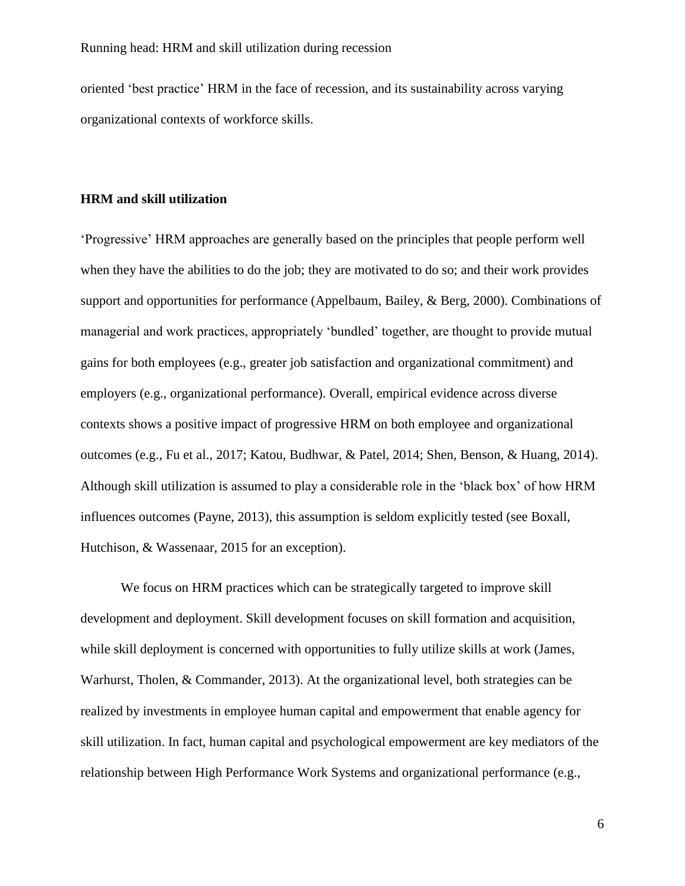oriented 'best practice' HRM in the face of recession, and its sustainability across varying organizational contexts of workforce skills.

## **HRM and skill utilization**

'Progressive' HRM approaches are generally based on the principles that people perform well when they have the abilities to do the job; they are motivated to do so; and their work provides support and opportunities for performance (Appelbaum, Bailey, & Berg, 2000). Combinations of managerial and work practices, appropriately 'bundled' together, are thought to provide mutual gains for both employees (e.g., greater job satisfaction and organizational commitment) and employers (e.g., organizational performance). Overall, empirical evidence across diverse contexts shows a positive impact of progressive HRM on both employee and organizational outcomes (e.g., Fu et al., 2017; Katou, Budhwar, & Patel, 2014; Shen, Benson, & Huang, 2014). Although skill utilization is assumed to play a considerable role in the 'black box' of how HRM influences outcomes (Payne, 2013), this assumption is seldom explicitly tested (see Boxall, Hutchison, & Wassenaar, 2015 for an exception).

We focus on HRM practices which can be strategically targeted to improve skill development and deployment. Skill development focuses on skill formation and acquisition, while skill deployment is concerned with opportunities to fully utilize skills at work (James, Warhurst, Tholen, & Commander, 2013). At the organizational level, both strategies can be realized by investments in employee human capital and empowerment that enable agency for skill utilization. In fact, human capital and psychological empowerment are key mediators of the relationship between High Performance Work Systems and organizational performance (e.g.,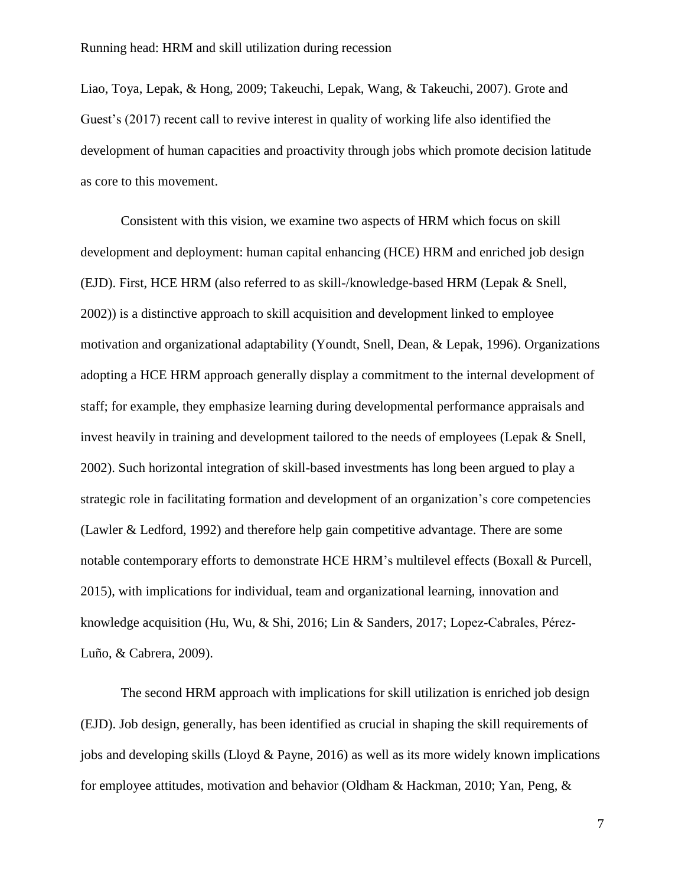Liao, Toya, Lepak, & Hong, 2009; Takeuchi, Lepak, Wang, & Takeuchi, 2007). Grote and Guest's (2017) recent call to revive interest in quality of working life also identified the development of human capacities and proactivity through jobs which promote decision latitude as core to this movement.

Consistent with this vision, we examine two aspects of HRM which focus on skill development and deployment: human capital enhancing (HCE) HRM and enriched job design (EJD). First, HCE HRM (also referred to as skill-/knowledge-based HRM (Lepak & Snell, 2002)) is a distinctive approach to skill acquisition and development linked to employee motivation and organizational adaptability (Youndt, Snell, Dean, & Lepak, 1996). Organizations adopting a HCE HRM approach generally display a commitment to the internal development of staff; for example, they emphasize learning during developmental performance appraisals and invest heavily in training and development tailored to the needs of employees (Lepak & Snell, 2002). Such horizontal integration of skill-based investments has long been argued to play a strategic role in facilitating formation and development of an organization's core competencies (Lawler & Ledford, 1992) and therefore help gain competitive advantage. There are some notable contemporary efforts to demonstrate HCE HRM's multilevel effects (Boxall & Purcell, 2015), with implications for individual, team and organizational learning, innovation and knowledge acquisition (Hu, Wu, & Shi, 2016; Lin & Sanders, 2017; Lopez-Cabrales, Pérez-Luño, & Cabrera, 2009).

The second HRM approach with implications for skill utilization is enriched job design (EJD). Job design, generally, has been identified as crucial in shaping the skill requirements of jobs and developing skills (Lloyd & Payne, 2016) as well as its more widely known implications for employee attitudes, motivation and behavior (Oldham & Hackman, 2010; Yan, Peng, &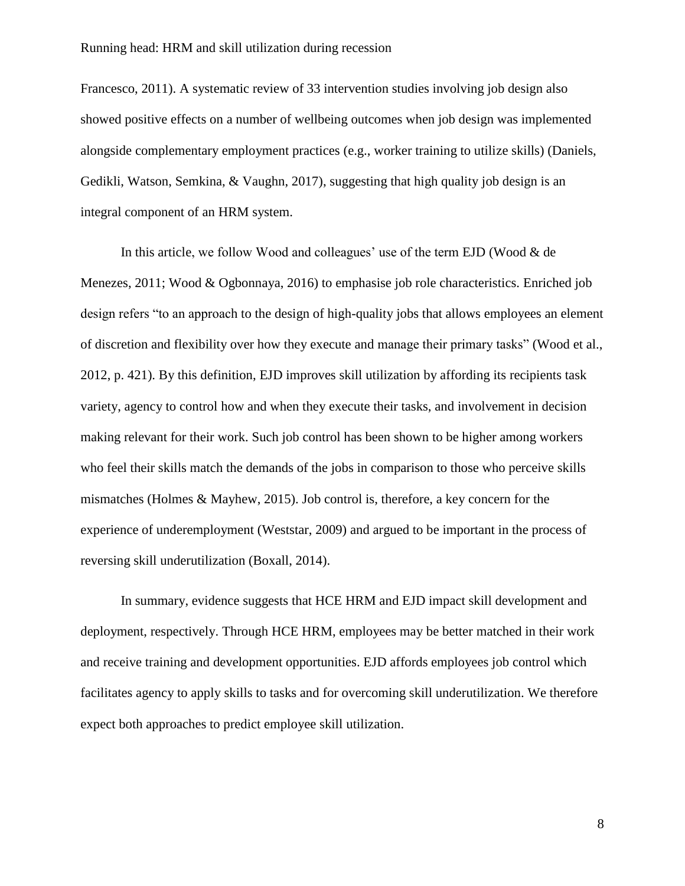Francesco, 2011). A systematic review of 33 intervention studies involving job design also showed positive effects on a number of wellbeing outcomes when job design was implemented alongside complementary employment practices (e.g., worker training to utilize skills) (Daniels, Gedikli, Watson, Semkina, & Vaughn, 2017), suggesting that high quality job design is an integral component of an HRM system.

In this article, we follow Wood and colleagues' use of the term EJD (Wood & de Menezes, 2011; Wood & Ogbonnaya, 2016) to emphasise job role characteristics. Enriched job design refers "to an approach to the design of high-quality jobs that allows employees an element of discretion and flexibility over how they execute and manage their primary tasks" (Wood et al., 2012, p. 421). By this definition, EJD improves skill utilization by affording its recipients task variety, agency to control how and when they execute their tasks, and involvement in decision making relevant for their work. Such job control has been shown to be higher among workers who feel their skills match the demands of the jobs in comparison to those who perceive skills mismatches (Holmes & Mayhew, 2015). Job control is, therefore, a key concern for the experience of underemployment (Weststar, 2009) and argued to be important in the process of reversing skill underutilization (Boxall, 2014).

In summary, evidence suggests that HCE HRM and EJD impact skill development and deployment, respectively. Through HCE HRM, employees may be better matched in their work and receive training and development opportunities. EJD affords employees job control which facilitates agency to apply skills to tasks and for overcoming skill underutilization. We therefore expect both approaches to predict employee skill utilization.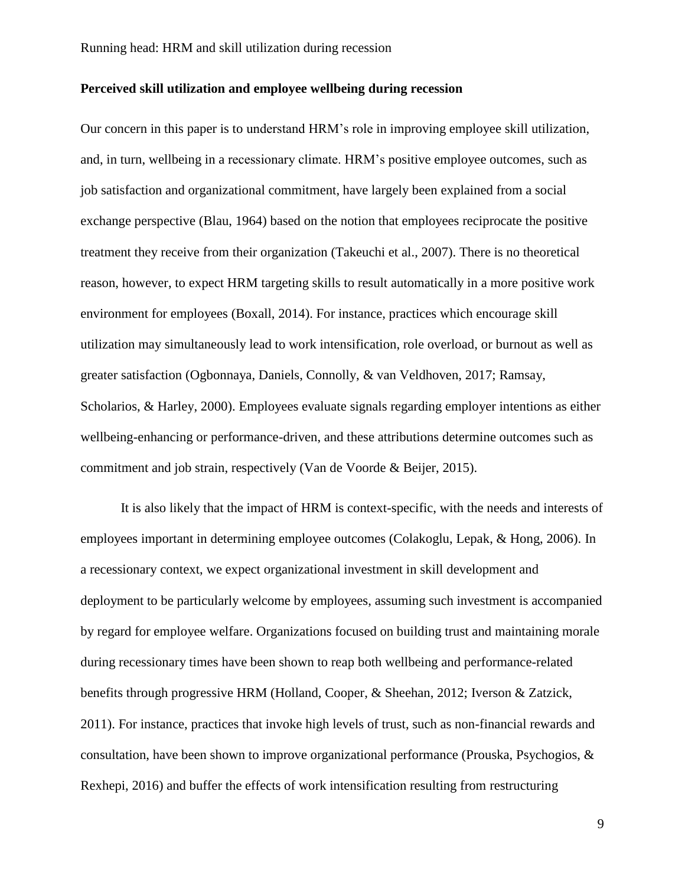## **Perceived skill utilization and employee wellbeing during recession**

Our concern in this paper is to understand HRM's role in improving employee skill utilization, and, in turn, wellbeing in a recessionary climate. HRM's positive employee outcomes, such as job satisfaction and organizational commitment, have largely been explained from a social exchange perspective (Blau, 1964) based on the notion that employees reciprocate the positive treatment they receive from their organization (Takeuchi et al., 2007). There is no theoretical reason, however, to expect HRM targeting skills to result automatically in a more positive work environment for employees (Boxall, 2014). For instance, practices which encourage skill utilization may simultaneously lead to work intensification, role overload, or burnout as well as greater satisfaction (Ogbonnaya, Daniels, Connolly, & van Veldhoven, 2017; Ramsay, Scholarios, & Harley, 2000). Employees evaluate signals regarding employer intentions as either wellbeing-enhancing or performance-driven, and these attributions determine outcomes such as commitment and job strain, respectively (Van de Voorde & Beijer, 2015).

It is also likely that the impact of HRM is context-specific, with the needs and interests of employees important in determining employee outcomes (Colakoglu, Lepak, & Hong, 2006). In a recessionary context, we expect organizational investment in skill development and deployment to be particularly welcome by employees, assuming such investment is accompanied by regard for employee welfare. Organizations focused on building trust and maintaining morale during recessionary times have been shown to reap both wellbeing and performance-related benefits through progressive HRM (Holland, Cooper, & Sheehan, 2012; Iverson & Zatzick, 2011). For instance, practices that invoke high levels of trust, such as non-financial rewards and consultation, have been shown to improve organizational performance (Prouska, Psychogios, & Rexhepi, 2016) and buffer the effects of work intensification resulting from restructuring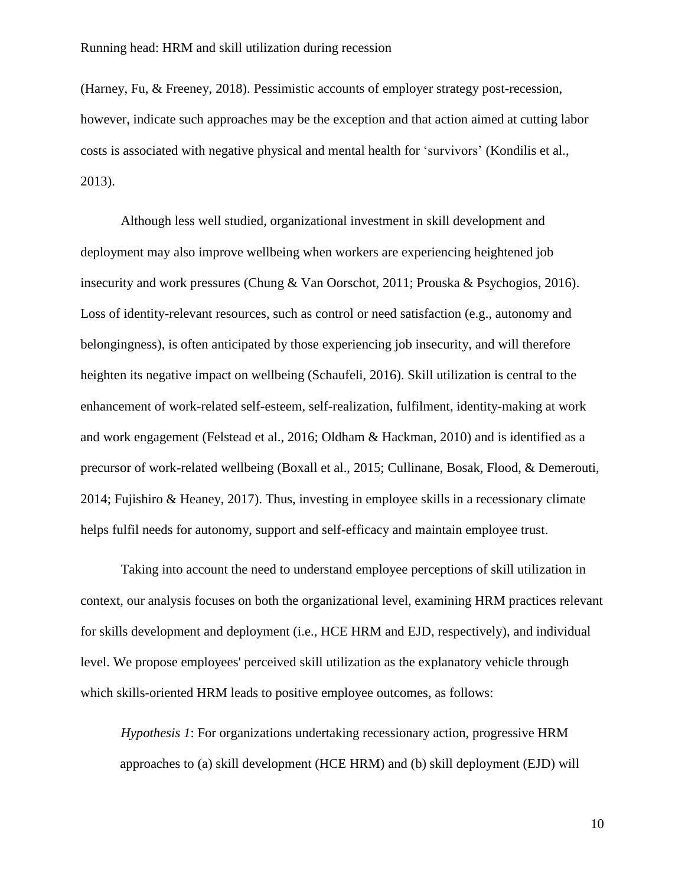(Harney, Fu, & Freeney, 2018). Pessimistic accounts of employer strategy post-recession, however, indicate such approaches may be the exception and that action aimed at cutting labor costs is associated with negative physical and mental health for 'survivors' (Kondilis et al., 2013).

Although less well studied, organizational investment in skill development and deployment may also improve wellbeing when workers are experiencing heightened job insecurity and work pressures (Chung & Van Oorschot, 2011; Prouska & Psychogios, 2016). Loss of identity-relevant resources, such as control or need satisfaction (e.g., autonomy and belongingness), is often anticipated by those experiencing job insecurity, and will therefore heighten its negative impact on wellbeing (Schaufeli, 2016). Skill utilization is central to the enhancement of work-related self-esteem, self-realization, fulfilment, identity-making at work and work engagement (Felstead et al., 2016; Oldham & Hackman, 2010) and is identified as a precursor of work-related wellbeing (Boxall et al., 2015; Cullinane, Bosak, Flood, & Demerouti, 2014; Fujishiro & Heaney, 2017). Thus, investing in employee skills in a recessionary climate helps fulfil needs for autonomy, support and self-efficacy and maintain employee trust.

Taking into account the need to understand employee perceptions of skill utilization in context, our analysis focuses on both the organizational level, examining HRM practices relevant for skills development and deployment (i.e., HCE HRM and EJD, respectively), and individual level. We propose employees' perceived skill utilization as the explanatory vehicle through which skills-oriented HRM leads to positive employee outcomes, as follows:

*Hypothesis 1*: For organizations undertaking recessionary action, progressive HRM approaches to (a) skill development (HCE HRM) and (b) skill deployment (EJD) will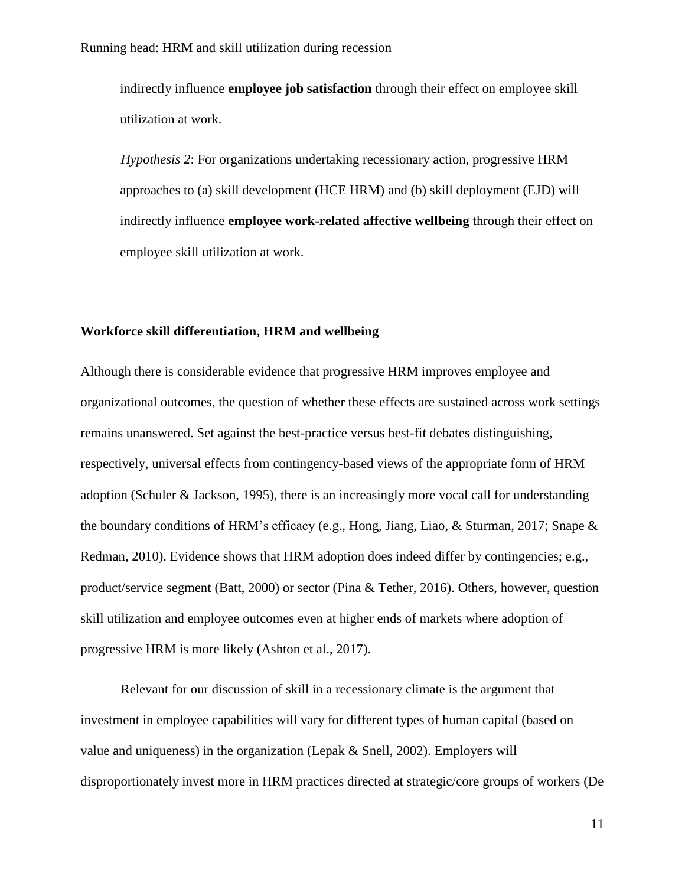indirectly influence **employee job satisfaction** through their effect on employee skill utilization at work.

*Hypothesis 2*: For organizations undertaking recessionary action, progressive HRM approaches to (a) skill development (HCE HRM) and (b) skill deployment (EJD) will indirectly influence **employee work-related affective wellbeing** through their effect on employee skill utilization at work.

## **Workforce skill differentiation, HRM and wellbeing**

Although there is considerable evidence that progressive HRM improves employee and organizational outcomes, the question of whether these effects are sustained across work settings remains unanswered. Set against the best-practice versus best-fit debates distinguishing, respectively, universal effects from contingency-based views of the appropriate form of HRM adoption (Schuler & Jackson, 1995), there is an increasingly more vocal call for understanding the boundary conditions of HRM's efficacy (e.g., Hong, Jiang, Liao, & Sturman, 2017; Snape & Redman, 2010). Evidence shows that HRM adoption does indeed differ by contingencies; e.g., product/service segment (Batt, 2000) or sector (Pina & Tether, 2016). Others, however, question skill utilization and employee outcomes even at higher ends of markets where adoption of progressive HRM is more likely (Ashton et al., 2017).

Relevant for our discussion of skill in a recessionary climate is the argument that investment in employee capabilities will vary for different types of human capital (based on value and uniqueness) in the organization (Lepak & Snell, 2002). Employers will disproportionately invest more in HRM practices directed at strategic/core groups of workers (De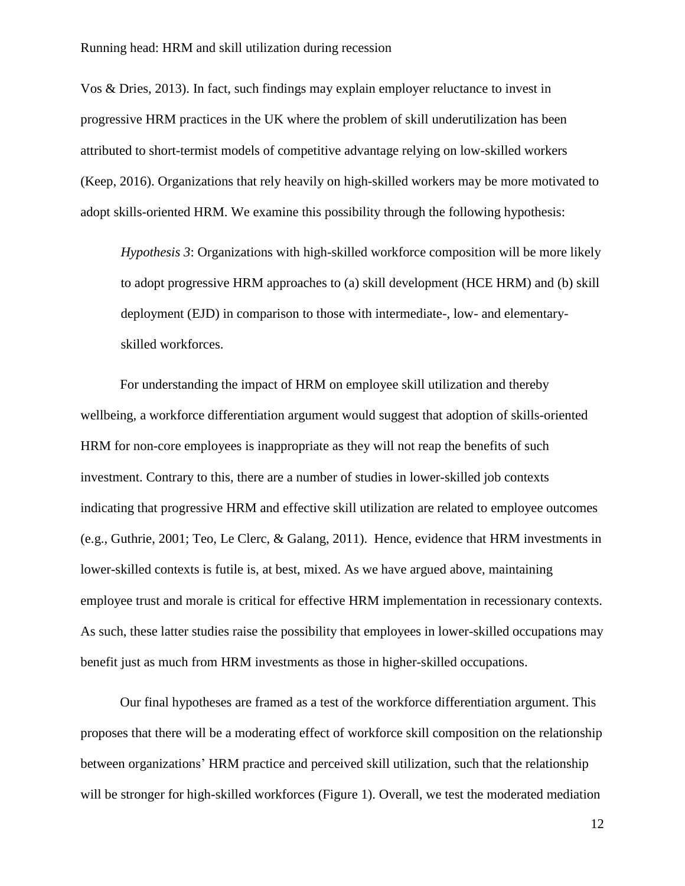Vos & Dries, 2013). In fact, such findings may explain employer reluctance to invest in progressive HRM practices in the UK where the problem of skill underutilization has been attributed to short-termist models of competitive advantage relying on low-skilled workers (Keep, 2016). Organizations that rely heavily on high-skilled workers may be more motivated to adopt skills-oriented HRM. We examine this possibility through the following hypothesis:

*Hypothesis 3*: Organizations with high-skilled workforce composition will be more likely to adopt progressive HRM approaches to (a) skill development (HCE HRM) and (b) skill deployment (EJD) in comparison to those with intermediate-, low- and elementaryskilled workforces.

For understanding the impact of HRM on employee skill utilization and thereby wellbeing, a workforce differentiation argument would suggest that adoption of skills-oriented HRM for non-core employees is inappropriate as they will not reap the benefits of such investment. Contrary to this, there are a number of studies in lower-skilled job contexts indicating that progressive HRM and effective skill utilization are related to employee outcomes (e.g., Guthrie, 2001; Teo, Le Clerc, & Galang, 2011). Hence, evidence that HRM investments in lower-skilled contexts is futile is, at best, mixed. As we have argued above, maintaining employee trust and morale is critical for effective HRM implementation in recessionary contexts. As such, these latter studies raise the possibility that employees in lower-skilled occupations may benefit just as much from HRM investments as those in higher-skilled occupations.

Our final hypotheses are framed as a test of the workforce differentiation argument. This proposes that there will be a moderating effect of workforce skill composition on the relationship between organizations' HRM practice and perceived skill utilization, such that the relationship will be stronger for high-skilled workforces (Figure 1). Overall, we test the moderated mediation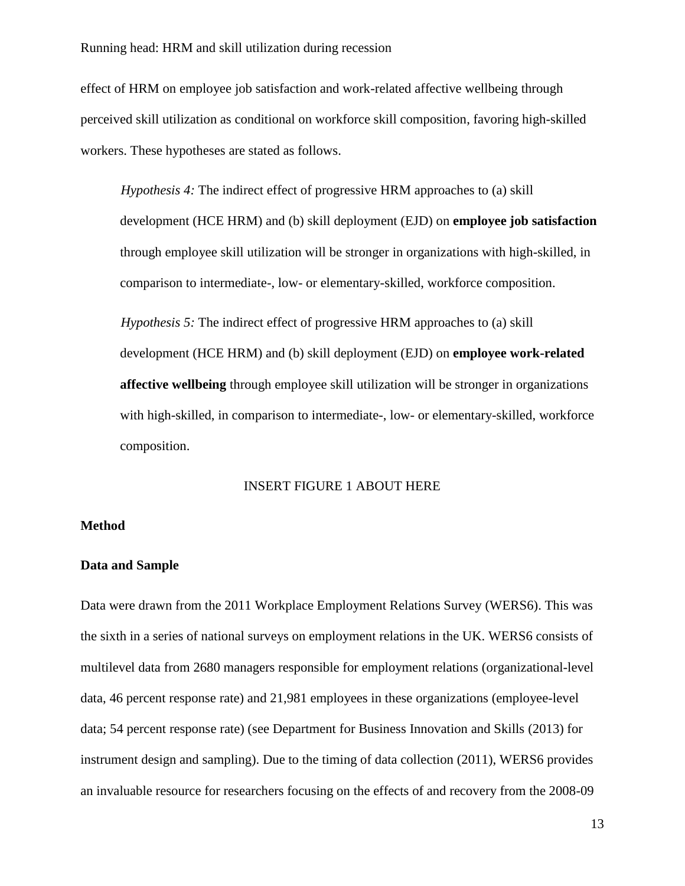effect of HRM on employee job satisfaction and work-related affective wellbeing through perceived skill utilization as conditional on workforce skill composition, favoring high-skilled workers. These hypotheses are stated as follows.

*Hypothesis 4:* The indirect effect of progressive HRM approaches to (a) skill development (HCE HRM) and (b) skill deployment (EJD) on **employee job satisfaction** through employee skill utilization will be stronger in organizations with high-skilled, in comparison to intermediate-, low- or elementary-skilled, workforce composition.

*Hypothesis 5:* The indirect effect of progressive HRM approaches to (a) skill development (HCE HRM) and (b) skill deployment (EJD) on **employee work-related affective wellbeing** through employee skill utilization will be stronger in organizations with high-skilled, in comparison to intermediate-, low- or elementary-skilled, workforce composition.

## INSERT FIGURE 1 ABOUT HERE

#### **Method**

## **Data and Sample**

Data were drawn from the 2011 Workplace Employment Relations Survey (WERS6). This was the sixth in a series of national surveys on employment relations in the UK. WERS6 consists of multilevel data from 2680 managers responsible for employment relations (organizational-level data, 46 percent response rate) and 21,981 employees in these organizations (employee-level data; 54 percent response rate) (see Department for Business Innovation and Skills (2013) for instrument design and sampling). Due to the timing of data collection (2011), WERS6 provides an invaluable resource for researchers focusing on the effects of and recovery from the 2008-09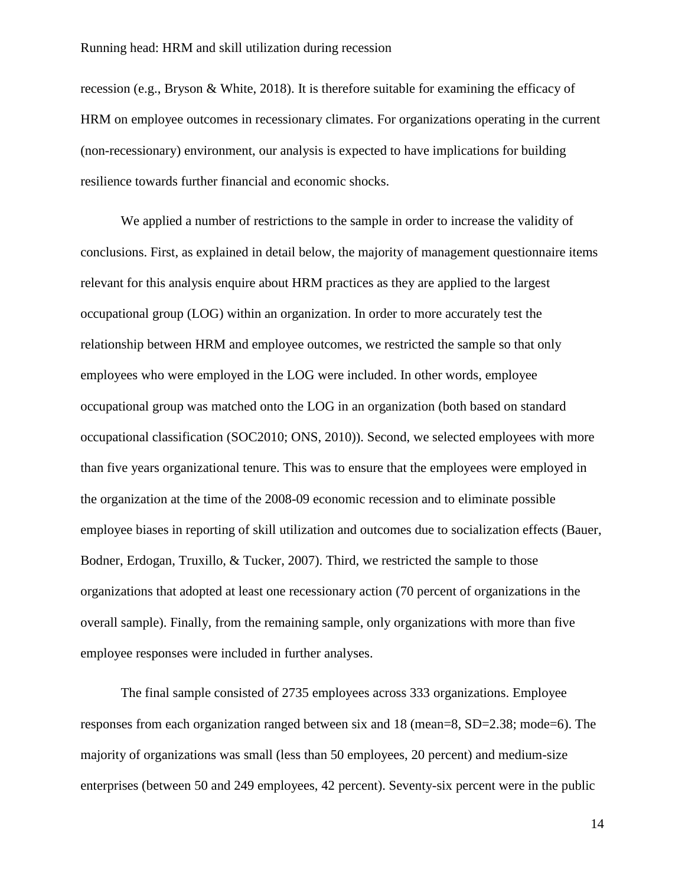recession (e.g., Bryson & White, 2018). It is therefore suitable for examining the efficacy of HRM on employee outcomes in recessionary climates. For organizations operating in the current (non-recessionary) environment, our analysis is expected to have implications for building resilience towards further financial and economic shocks.

We applied a number of restrictions to the sample in order to increase the validity of conclusions. First, as explained in detail below, the majority of management questionnaire items relevant for this analysis enquire about HRM practices as they are applied to the largest occupational group (LOG) within an organization. In order to more accurately test the relationship between HRM and employee outcomes, we restricted the sample so that only employees who were employed in the LOG were included. In other words, employee occupational group was matched onto the LOG in an organization (both based on standard occupational classification (SOC2010; ONS, 2010)). Second, we selected employees with more than five years organizational tenure. This was to ensure that the employees were employed in the organization at the time of the 2008-09 economic recession and to eliminate possible employee biases in reporting of skill utilization and outcomes due to socialization effects (Bauer, Bodner, Erdogan, Truxillo, & Tucker, 2007). Third, we restricted the sample to those organizations that adopted at least one recessionary action (70 percent of organizations in the overall sample). Finally, from the remaining sample, only organizations with more than five employee responses were included in further analyses.

The final sample consisted of 2735 employees across 333 organizations. Employee responses from each organization ranged between six and 18 (mean=8, SD=2.38; mode=6). The majority of organizations was small (less than 50 employees, 20 percent) and medium-size enterprises (between 50 and 249 employees, 42 percent). Seventy-six percent were in the public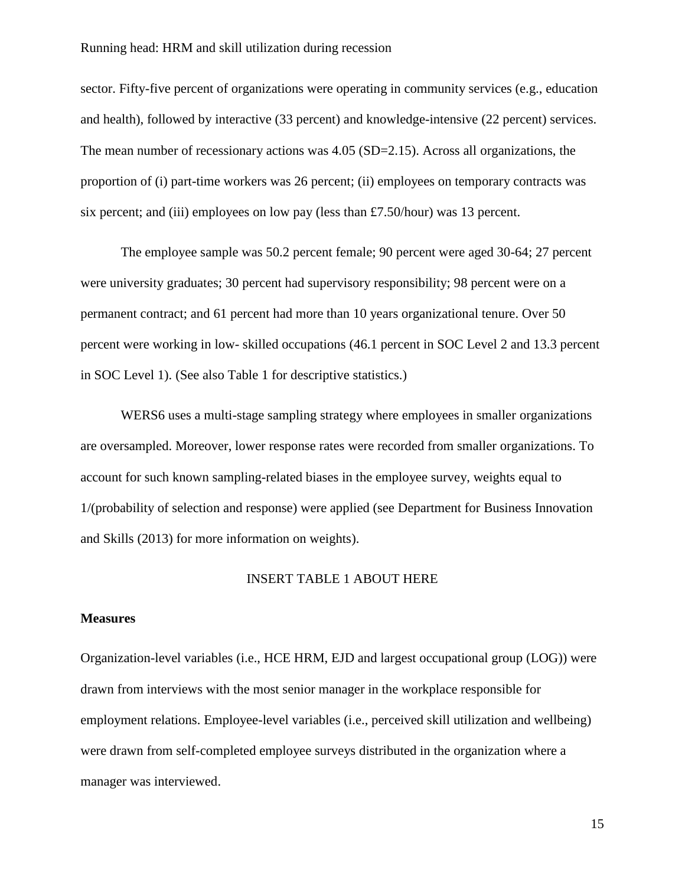sector. Fifty-five percent of organizations were operating in community services (e.g., education and health), followed by interactive (33 percent) and knowledge-intensive (22 percent) services. The mean number of recessionary actions was 4.05 (SD=2.15). Across all organizations, the proportion of (i) part-time workers was 26 percent; (ii) employees on temporary contracts was six percent; and (iii) employees on low pay (less than £7.50/hour) was 13 percent.

The employee sample was 50.2 percent female; 90 percent were aged 30-64; 27 percent were university graduates; 30 percent had supervisory responsibility; 98 percent were on a permanent contract; and 61 percent had more than 10 years organizational tenure. Over 50 percent were working in low- skilled occupations (46.1 percent in SOC Level 2 and 13.3 percent in SOC Level 1). (See also Table 1 for descriptive statistics.)

WERS6 uses a multi-stage sampling strategy where employees in smaller organizations are oversampled. Moreover, lower response rates were recorded from smaller organizations. To account for such known sampling-related biases in the employee survey, weights equal to 1/(probability of selection and response) were applied (see Department for Business Innovation and Skills (2013) for more information on weights).

## INSERT TABLE 1 ABOUT HERE

#### **Measures**

Organization-level variables (i.e., HCE HRM, EJD and largest occupational group (LOG)) were drawn from interviews with the most senior manager in the workplace responsible for employment relations. Employee-level variables (i.e., perceived skill utilization and wellbeing) were drawn from self-completed employee surveys distributed in the organization where a manager was interviewed.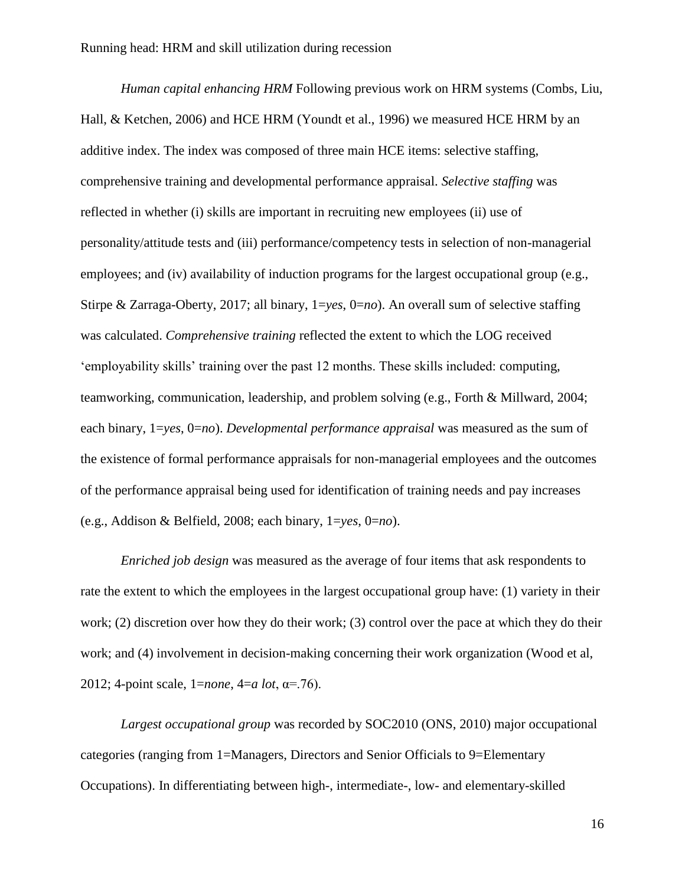*Human capital enhancing HRM* Following previous work on HRM systems (Combs, Liu, Hall, & Ketchen, 2006) and HCE HRM (Youndt et al., 1996) we measured HCE HRM by an additive index. The index was composed of three main HCE items: selective staffing, comprehensive training and developmental performance appraisal. *Selective staffing* was reflected in whether (i) skills are important in recruiting new employees (ii) use of personality/attitude tests and (iii) performance/competency tests in selection of non-managerial employees; and (iv) availability of induction programs for the largest occupational group (e.g., Stirpe & Zarraga-Oberty, 2017; all binary, 1=*yes*, 0=*no*). An overall sum of selective staffing was calculated. *Comprehensive training* reflected the extent to which the LOG received 'employability skills' training over the past 12 months. These skills included: computing, teamworking, communication, leadership, and problem solving (e.g., Forth & Millward, 2004; each binary, 1=*yes*, 0=*no*). *Developmental performance appraisal* was measured as the sum of the existence of formal performance appraisals for non-managerial employees and the outcomes of the performance appraisal being used for identification of training needs and pay increases (e.g., Addison & Belfield, 2008; each binary, 1=*yes*, 0=*no*).

*Enriched job design* was measured as the average of four items that ask respondents to rate the extent to which the employees in the largest occupational group have: (1) variety in their work; (2) discretion over how they do their work; (3) control over the pace at which they do their work; and (4) involvement in decision-making concerning their work organization (Wood et al, 2012; 4-point scale, 1=*none*, 4=*a lot*, α=.76).

*Largest occupational group* was recorded by SOC2010 (ONS, 2010) major occupational categories (ranging from 1=Managers, Directors and Senior Officials to 9=Elementary Occupations). In differentiating between high-, intermediate-, low- and elementary-skilled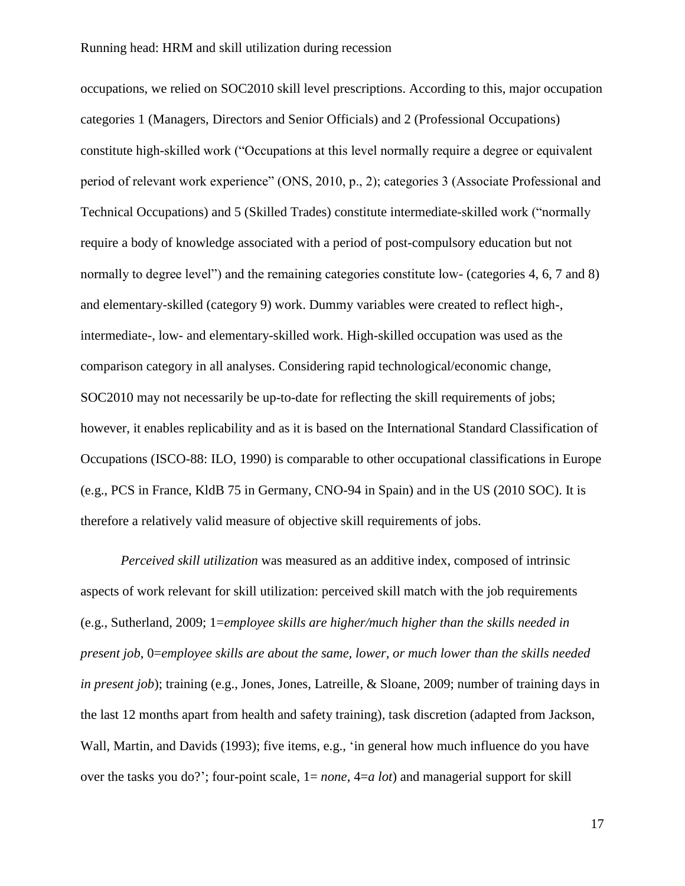occupations, we relied on SOC2010 skill level prescriptions. According to this, major occupation categories 1 (Managers, Directors and Senior Officials) and 2 (Professional Occupations) constitute high-skilled work ("Occupations at this level normally require a degree or equivalent period of relevant work experience" (ONS, 2010, p., 2); categories 3 (Associate Professional and Technical Occupations) and 5 (Skilled Trades) constitute intermediate-skilled work ("normally require a body of knowledge associated with a period of post-compulsory education but not normally to degree level") and the remaining categories constitute low- (categories 4, 6, 7 and 8) and elementary-skilled (category 9) work. Dummy variables were created to reflect high-, intermediate-, low- and elementary-skilled work. High-skilled occupation was used as the comparison category in all analyses. Considering rapid technological/economic change, SOC2010 may not necessarily be up-to-date for reflecting the skill requirements of jobs; however, it enables replicability and as it is based on the International Standard Classification of Occupations (ISCO-88: ILO, 1990) is comparable to other occupational classifications in Europe (e.g., PCS in France, KldB 75 in Germany, CNO-94 in Spain) and in the US (2010 SOC). It is therefore a relatively valid measure of objective skill requirements of jobs.

*Perceived skill utilization* was measured as an additive index, composed of intrinsic aspects of work relevant for skill utilization: perceived skill match with the job requirements (e.g., Sutherland, 2009; 1=*employee skills are higher/much higher than the skills needed in present job*, 0=*employee skills are about the same, lower, or much lower than the skills needed in present job*); training (e.g., Jones, Jones, Latreille, & Sloane, 2009; number of training days in the last 12 months apart from health and safety training), task discretion (adapted from Jackson, Wall, Martin, and Davids (1993); five items, e.g., 'in general how much influence do you have over the tasks you do?'; four-point scale, 1= *none*, 4=*a lot*) and managerial support for skill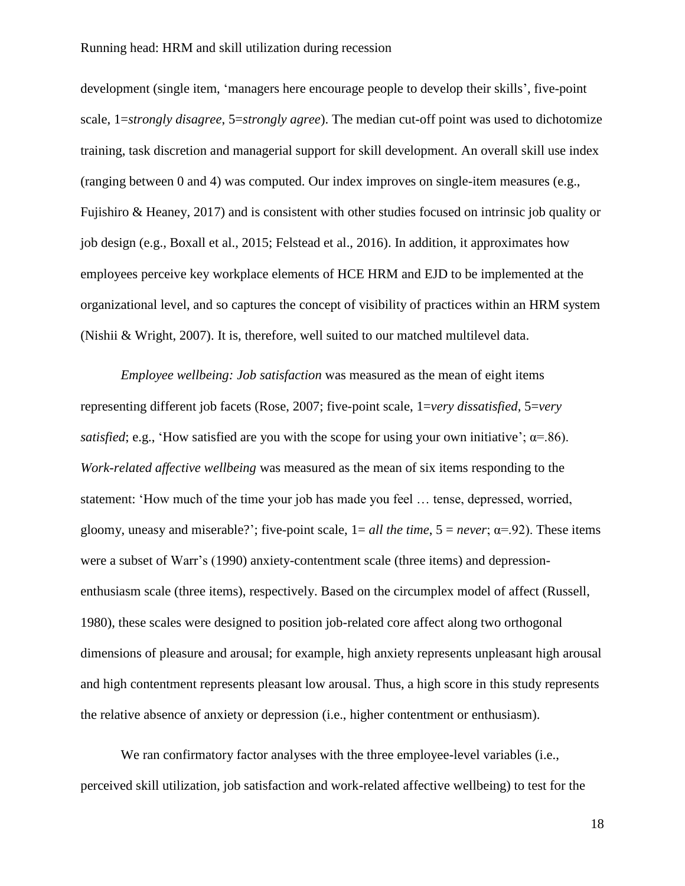development (single item, 'managers here encourage people to develop their skills', five-point scale, 1=*strongly disagree*, 5=*strongly agree*). The median cut-off point was used to dichotomize training, task discretion and managerial support for skill development. An overall skill use index (ranging between 0 and 4) was computed. Our index improves on single-item measures (e.g., Fujishiro & Heaney, 2017) and is consistent with other studies focused on intrinsic job quality or job design (e.g., Boxall et al., 2015; Felstead et al., 2016). In addition, it approximates how employees perceive key workplace elements of HCE HRM and EJD to be implemented at the organizational level, and so captures the concept of visibility of practices within an HRM system (Nishii & Wright, 2007). It is, therefore, well suited to our matched multilevel data.

*Employee wellbeing: Job satisfaction* was measured as the mean of eight items representing different job facets (Rose, 2007; five-point scale, 1=*very dissatisfied,* 5=*very satisfied*; e.g., 'How satisfied are you with the scope for using your own initiative';  $\alpha$ =.86). *Work-related affective wellbeing* was measured as the mean of six items responding to the statement: 'How much of the time your job has made you feel … tense, depressed, worried, gloomy, uneasy and miserable?'; five-point scale,  $1 = all$  the time,  $5 = never$ ;  $\alpha = .92$ ). These items were a subset of Warr's (1990) anxiety-contentment scale (three items) and depressionenthusiasm scale (three items), respectively. Based on the circumplex model of affect (Russell, 1980), these scales were designed to position job-related core affect along two orthogonal dimensions of pleasure and arousal; for example, high anxiety represents unpleasant high arousal and high contentment represents pleasant low arousal. Thus, a high score in this study represents the relative absence of anxiety or depression (i.e., higher contentment or enthusiasm).

We ran confirmatory factor analyses with the three employee-level variables (i.e., perceived skill utilization, job satisfaction and work-related affective wellbeing) to test for the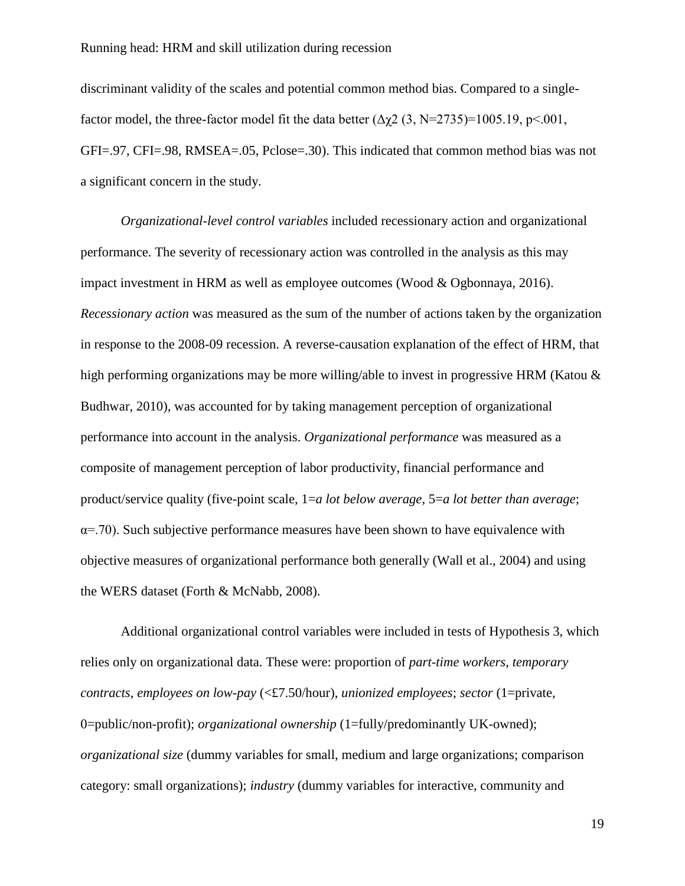discriminant validity of the scales and potential common method bias. Compared to a singlefactor model, the three-factor model fit the data better  $(\Delta \gamma 2 (3, N=2735)=1005.19, p<.001,$ GFI=.97, CFI=.98, RMSEA=.05, Pclose=.30). This indicated that common method bias was not a significant concern in the study.

*Organizational-level control variables* included recessionary action and organizational performance. The severity of recessionary action was controlled in the analysis as this may impact investment in HRM as well as employee outcomes (Wood & Ogbonnaya, 2016). *Recessionary action* was measured as the sum of the number of actions taken by the organization in response to the 2008-09 recession. A reverse-causation explanation of the effect of HRM, that high performing organizations may be more willing/able to invest in progressive HRM (Katou & Budhwar, 2010), was accounted for by taking management perception of organizational performance into account in the analysis. *Organizational performance* was measured as a composite of management perception of labor productivity, financial performance and product/service quality (five-point scale, 1=*a lot below average*, 5=*a lot better than average*;  $\alpha$ =.70). Such subjective performance measures have been shown to have equivalence with objective measures of organizational performance both generally (Wall et al., 2004) and using the WERS dataset (Forth & McNabb, 2008).

Additional organizational control variables were included in tests of Hypothesis 3, which relies only on organizational data. These were: proportion of *part-time workers*, *temporary contracts*, *employees on low-pay* (<£7.50/hour), *unionized employees*; *sector* (1=private, 0=public/non-profit); *organizational ownership* (1=fully/predominantly UK-owned); *organizational size* (dummy variables for small, medium and large organizations; comparison category: small organizations); *industry* (dummy variables for interactive, community and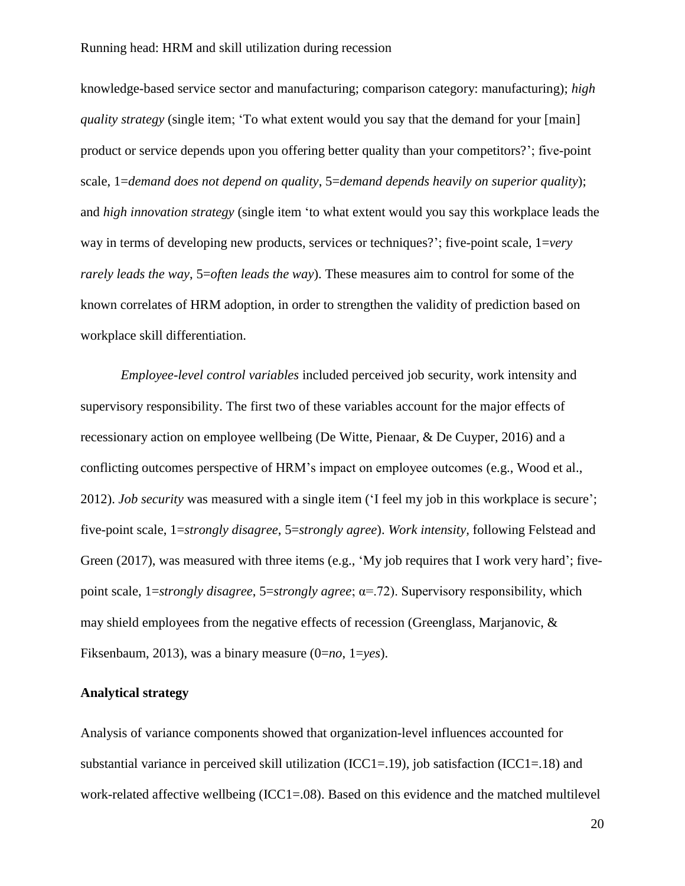knowledge-based service sector and manufacturing; comparison category: manufacturing); *high quality strategy* (single item; 'To what extent would you say that the demand for your [main] product or service depends upon you offering better quality than your competitors?'; five-point scale, 1=*demand does not depend on quality*, 5=*demand depends heavily on superior quality*); and *high innovation strategy* (single item 'to what extent would you say this workplace leads the way in terms of developing new products, services or techniques?'; five-point scale, 1=*very rarely leads the way*, 5=*often leads the way*). These measures aim to control for some of the known correlates of HRM adoption, in order to strengthen the validity of prediction based on workplace skill differentiation.

*Employee-level control variables* included perceived job security, work intensity and supervisory responsibility. The first two of these variables account for the major effects of recessionary action on employee wellbeing (De Witte, Pienaar, & De Cuyper, 2016) and a conflicting outcomes perspective of HRM's impact on employee outcomes (e.g., Wood et al., 2012). *Job security* was measured with a single item ('I feel my job in this workplace is secure'; five-point scale, 1=*strongly disagree*, 5=*strongly agree*). *Work intensity,* following Felstead and Green (2017), was measured with three items (e.g., 'My job requires that I work very hard'; fivepoint scale, 1=*strongly disagree*, 5=*strongly agree*; α=.72). Supervisory responsibility, which may shield employees from the negative effects of recession (Greenglass, Marjanovic, & Fiksenbaum, 2013), was a binary measure (0=*no*, 1=*yes*).

## **Analytical strategy**

Analysis of variance components showed that organization-level influences accounted for substantial variance in perceived skill utilization (ICC1=.19), job satisfaction (ICC1=.18) and work-related affective wellbeing (ICC1=.08). Based on this evidence and the matched multilevel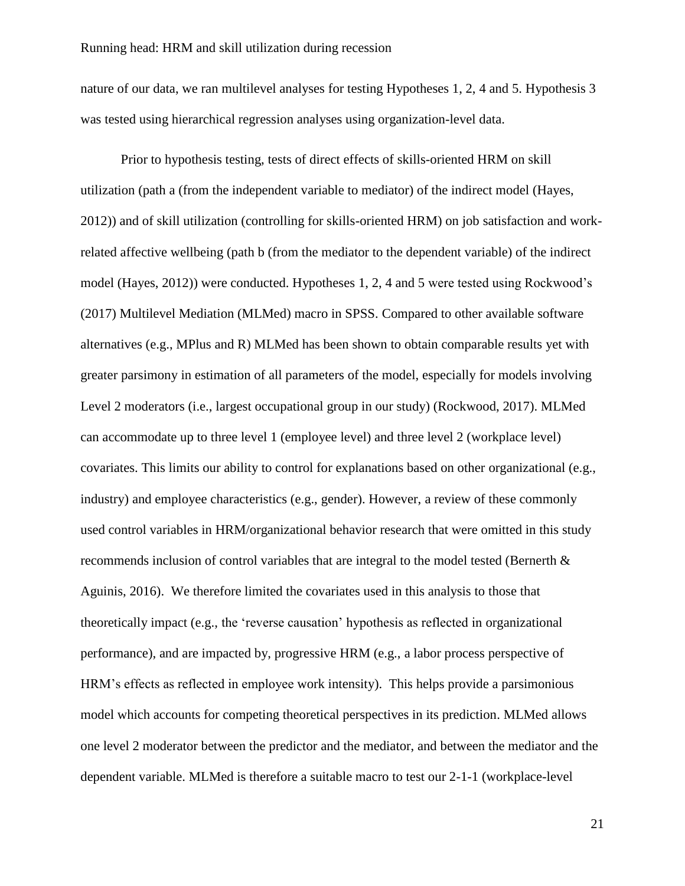nature of our data, we ran multilevel analyses for testing Hypotheses 1, 2, 4 and 5. Hypothesis 3 was tested using hierarchical regression analyses using organization-level data.

Prior to hypothesis testing, tests of direct effects of skills-oriented HRM on skill utilization (path a (from the independent variable to mediator) of the indirect model (Hayes, 2012)) and of skill utilization (controlling for skills-oriented HRM) on job satisfaction and workrelated affective wellbeing (path b (from the mediator to the dependent variable) of the indirect model (Hayes, 2012)) were conducted. Hypotheses 1, 2, 4 and 5 were tested using Rockwood's (2017) Multilevel Mediation (MLMed) macro in SPSS. Compared to other available software alternatives (e.g., MPlus and R) MLMed has been shown to obtain comparable results yet with greater parsimony in estimation of all parameters of the model, especially for models involving Level 2 moderators (i.e., largest occupational group in our study) (Rockwood, 2017). MLMed can accommodate up to three level 1 (employee level) and three level 2 (workplace level) covariates. This limits our ability to control for explanations based on other organizational (e.g., industry) and employee characteristics (e.g., gender). However, a review of these commonly used control variables in HRM/organizational behavior research that were omitted in this study recommends inclusion of control variables that are integral to the model tested (Bernerth & Aguinis, 2016). We therefore limited the covariates used in this analysis to those that theoretically impact (e.g., the 'reverse causation' hypothesis as reflected in organizational performance), and are impacted by, progressive HRM (e.g., a labor process perspective of HRM's effects as reflected in employee work intensity). This helps provide a parsimonious model which accounts for competing theoretical perspectives in its prediction. MLMed allows one level 2 moderator between the predictor and the mediator, and between the mediator and the dependent variable. MLMed is therefore a suitable macro to test our 2-1-1 (workplace-level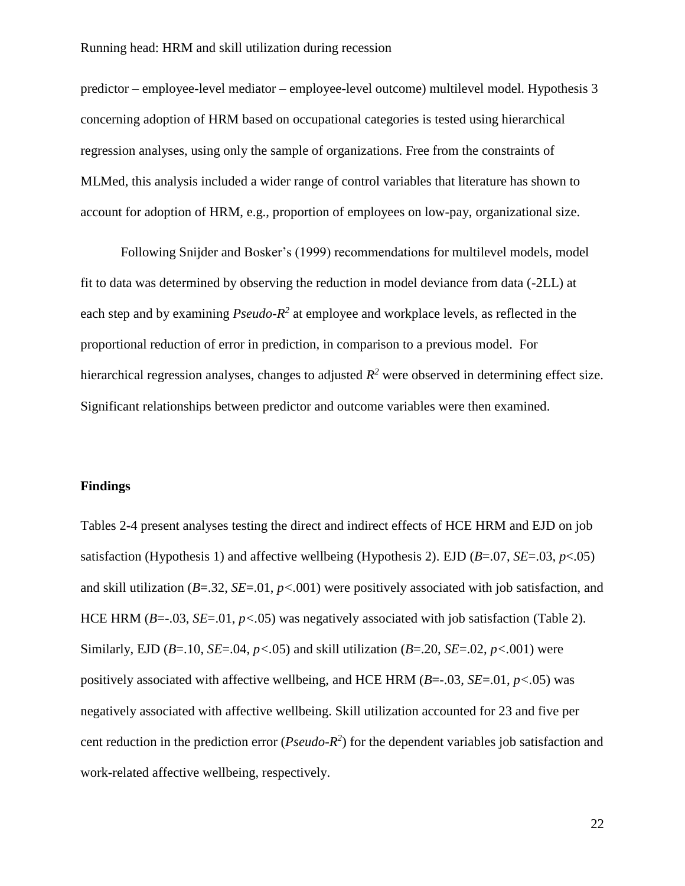predictor – employee-level mediator – employee-level outcome) multilevel model. Hypothesis 3 concerning adoption of HRM based on occupational categories is tested using hierarchical regression analyses, using only the sample of organizations. Free from the constraints of MLMed, this analysis included a wider range of control variables that literature has shown to account for adoption of HRM, e.g., proportion of employees on low-pay, organizational size.

Following Snijder and Bosker's (1999) recommendations for multilevel models, model fit to data was determined by observing the reduction in model deviance from data (-2LL) at each step and by examining *Pseudo-R*<sup>2</sup> at employee and workplace levels, as reflected in the proportional reduction of error in prediction, in comparison to a previous model. For hierarchical regression analyses, changes to adjusted *R <sup>2</sup>* were observed in determining effect size. Significant relationships between predictor and outcome variables were then examined.

## **Findings**

Tables 2-4 present analyses testing the direct and indirect effects of HCE HRM and EJD on job satisfaction (Hypothesis 1) and affective wellbeing (Hypothesis 2). EJD (*B*=.07, *SE*=.03, *p*<.05) and skill utilization (*B*=.32, *SE*=.01, *p<.*001) were positively associated with job satisfaction, and HCE HRM (*B*=-.03, *SE*=.01, *p<.*05) was negatively associated with job satisfaction (Table 2). Similarly, EJD ( $B = 10$ ,  $SE = 0.04$ ,  $p < 0.05$ ) and skill utilization ( $B = 20$ ,  $SE = 0.02$ ,  $p < 0.001$ ) were positively associated with affective wellbeing, and HCE HRM (*B*=-.03, *SE*=.01, *p<.*05) was negatively associated with affective wellbeing. Skill utilization accounted for 23 and five per cent reduction in the prediction error ( $Pseudo-R<sup>2</sup>$ ) for the dependent variables job satisfaction and work-related affective wellbeing, respectively.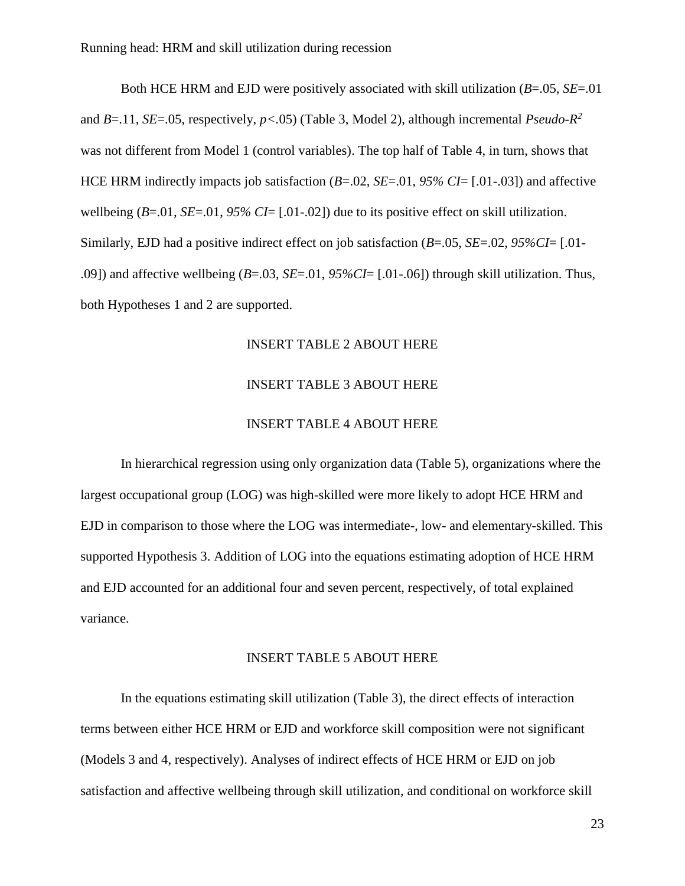Both HCE HRM and EJD were positively associated with skill utilization (*B*=.05, *SE*=.01 and *B*=.11, *SE*=.05, respectively, *p<.*05) (Table 3, Model 2), although incremental *Pseudo-R 2* was not different from Model 1 (control variables). The top half of Table 4, in turn, shows that HCE HRM indirectly impacts job satisfaction (*B*=.02, *SE*=.01, *95% CI*= [.01-.03]) and affective wellbeing (*B*=.01, *SE*=.01, *95% CI*= [.01-.02]) due to its positive effect on skill utilization. Similarly, EJD had a positive indirect effect on job satisfaction (*B*=.05, *SE*=.02, *95%CI*= [.01- .09]) and affective wellbeing (*B*=.03, *SE*=.01, *95%CI*= [.01-.06]) through skill utilization. Thus, both Hypotheses 1 and 2 are supported.

## INSERT TABLE 2 ABOUT HERE

## INSERT TABLE 3 ABOUT HERE

## INSERT TABLE 4 ABOUT HERE

In hierarchical regression using only organization data (Table 5), organizations where the largest occupational group (LOG) was high-skilled were more likely to adopt HCE HRM and EJD in comparison to those where the LOG was intermediate-, low- and elementary-skilled. This supported Hypothesis 3. Addition of LOG into the equations estimating adoption of HCE HRM and EJD accounted for an additional four and seven percent, respectively, of total explained variance.

#### INSERT TABLE 5 ABOUT HERE

In the equations estimating skill utilization (Table 3), the direct effects of interaction terms between either HCE HRM or EJD and workforce skill composition were not significant (Models 3 and 4, respectively). Analyses of indirect effects of HCE HRM or EJD on job satisfaction and affective wellbeing through skill utilization, and conditional on workforce skill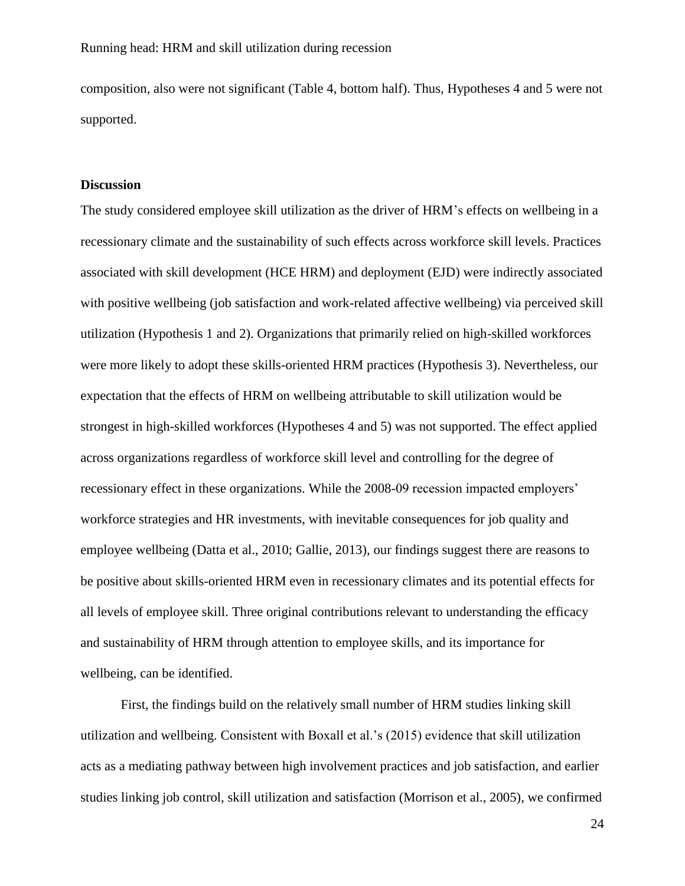composition, also were not significant (Table 4, bottom half). Thus, Hypotheses 4 and 5 were not supported.

#### **Discussion**

The study considered employee skill utilization as the driver of HRM's effects on wellbeing in a recessionary climate and the sustainability of such effects across workforce skill levels. Practices associated with skill development (HCE HRM) and deployment (EJD) were indirectly associated with positive wellbeing (job satisfaction and work-related affective wellbeing) via perceived skill utilization (Hypothesis 1 and 2). Organizations that primarily relied on high-skilled workforces were more likely to adopt these skills-oriented HRM practices (Hypothesis 3). Nevertheless, our expectation that the effects of HRM on wellbeing attributable to skill utilization would be strongest in high-skilled workforces (Hypotheses 4 and 5) was not supported. The effect applied across organizations regardless of workforce skill level and controlling for the degree of recessionary effect in these organizations. While the 2008-09 recession impacted employers' workforce strategies and HR investments, with inevitable consequences for job quality and employee wellbeing (Datta et al., 2010; Gallie, 2013), our findings suggest there are reasons to be positive about skills-oriented HRM even in recessionary climates and its potential effects for all levels of employee skill. Three original contributions relevant to understanding the efficacy and sustainability of HRM through attention to employee skills, and its importance for wellbeing, can be identified.

First, the findings build on the relatively small number of HRM studies linking skill utilization and wellbeing. Consistent with Boxall et al.'s (2015) evidence that skill utilization acts as a mediating pathway between high involvement practices and job satisfaction, and earlier studies linking job control, skill utilization and satisfaction (Morrison et al., 2005), we confirmed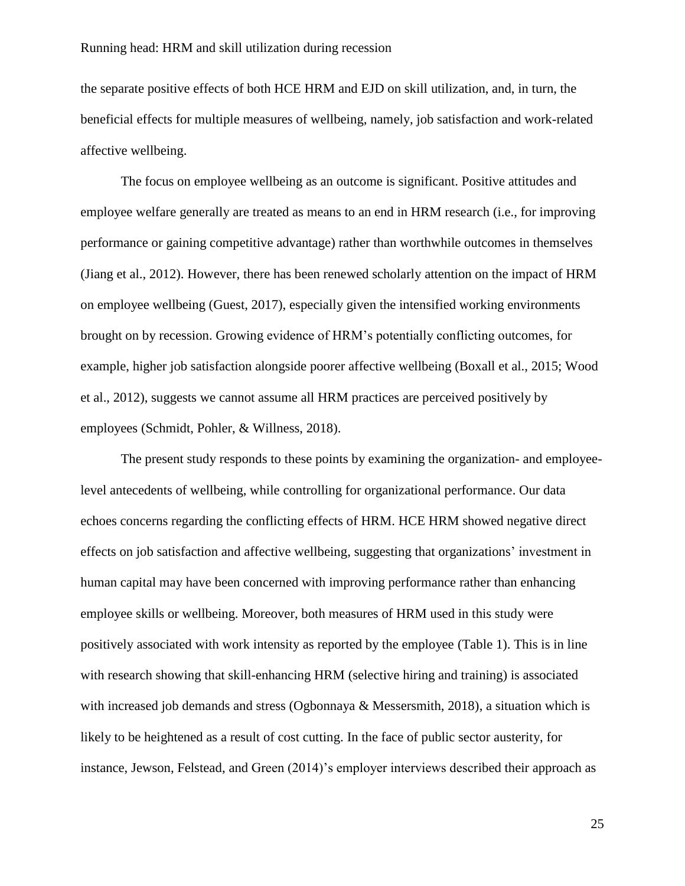the separate positive effects of both HCE HRM and EJD on skill utilization, and, in turn, the beneficial effects for multiple measures of wellbeing, namely, job satisfaction and work-related affective wellbeing.

The focus on employee wellbeing as an outcome is significant. Positive attitudes and employee welfare generally are treated as means to an end in HRM research (i.e., for improving performance or gaining competitive advantage) rather than worthwhile outcomes in themselves (Jiang et al., 2012). However, there has been renewed scholarly attention on the impact of HRM on employee wellbeing (Guest, 2017), especially given the intensified working environments brought on by recession. Growing evidence of HRM's potentially conflicting outcomes, for example, higher job satisfaction alongside poorer affective wellbeing (Boxall et al., 2015; Wood et al., 2012), suggests we cannot assume all HRM practices are perceived positively by employees (Schmidt, Pohler, & Willness, 2018).

The present study responds to these points by examining the organization- and employeelevel antecedents of wellbeing, while controlling for organizational performance. Our data echoes concerns regarding the conflicting effects of HRM. HCE HRM showed negative direct effects on job satisfaction and affective wellbeing, suggesting that organizations' investment in human capital may have been concerned with improving performance rather than enhancing employee skills or wellbeing. Moreover, both measures of HRM used in this study were positively associated with work intensity as reported by the employee (Table 1). This is in line with research showing that skill-enhancing HRM (selective hiring and training) is associated with increased job demands and stress (Ogbonnaya & Messersmith, 2018), a situation which is likely to be heightened as a result of cost cutting. In the face of public sector austerity, for instance, Jewson, Felstead, and Green (2014)'s employer interviews described their approach as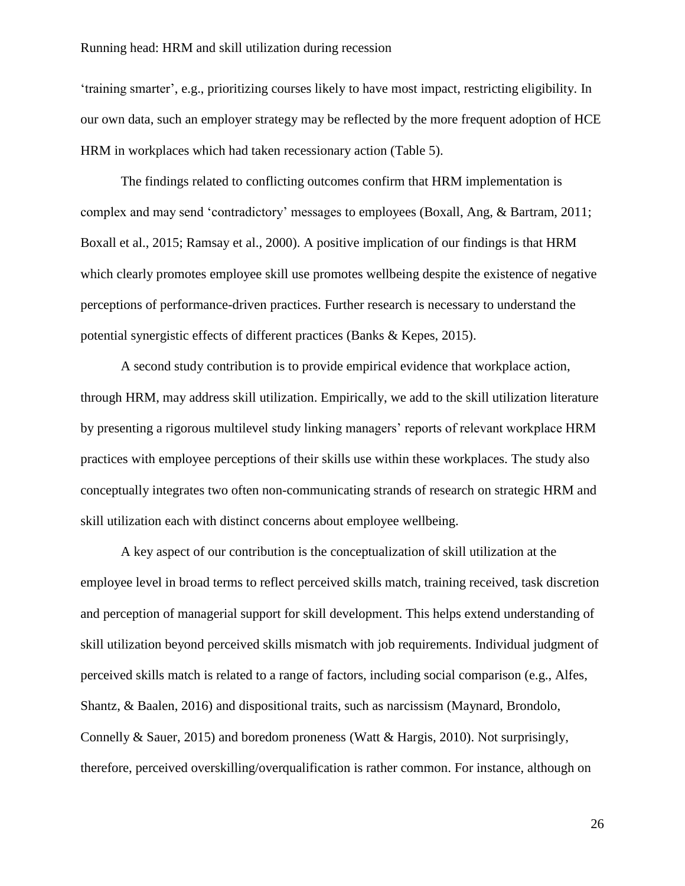'training smarter', e.g., prioritizing courses likely to have most impact, restricting eligibility. In our own data, such an employer strategy may be reflected by the more frequent adoption of HCE HRM in workplaces which had taken recessionary action (Table 5).

The findings related to conflicting outcomes confirm that HRM implementation is complex and may send 'contradictory' messages to employees (Boxall, Ang, & Bartram, 2011; Boxall et al., 2015; Ramsay et al., 2000). A positive implication of our findings is that HRM which clearly promotes employee skill use promotes wellbeing despite the existence of negative perceptions of performance-driven practices. Further research is necessary to understand the potential synergistic effects of different practices (Banks & Kepes, 2015).

A second study contribution is to provide empirical evidence that workplace action, through HRM, may address skill utilization. Empirically, we add to the skill utilization literature by presenting a rigorous multilevel study linking managers' reports of relevant workplace HRM practices with employee perceptions of their skills use within these workplaces. The study also conceptually integrates two often non-communicating strands of research on strategic HRM and skill utilization each with distinct concerns about employee wellbeing.

A key aspect of our contribution is the conceptualization of skill utilization at the employee level in broad terms to reflect perceived skills match, training received, task discretion and perception of managerial support for skill development. This helps extend understanding of skill utilization beyond perceived skills mismatch with job requirements. Individual judgment of perceived skills match is related to a range of factors, including social comparison (e.g., Alfes, Shantz, & Baalen, 2016) and dispositional traits, such as narcissism (Maynard, Brondolo, Connelly & Sauer, 2015) and boredom proneness (Watt & Hargis, 2010). Not surprisingly, therefore, perceived overskilling/overqualification is rather common. For instance, although on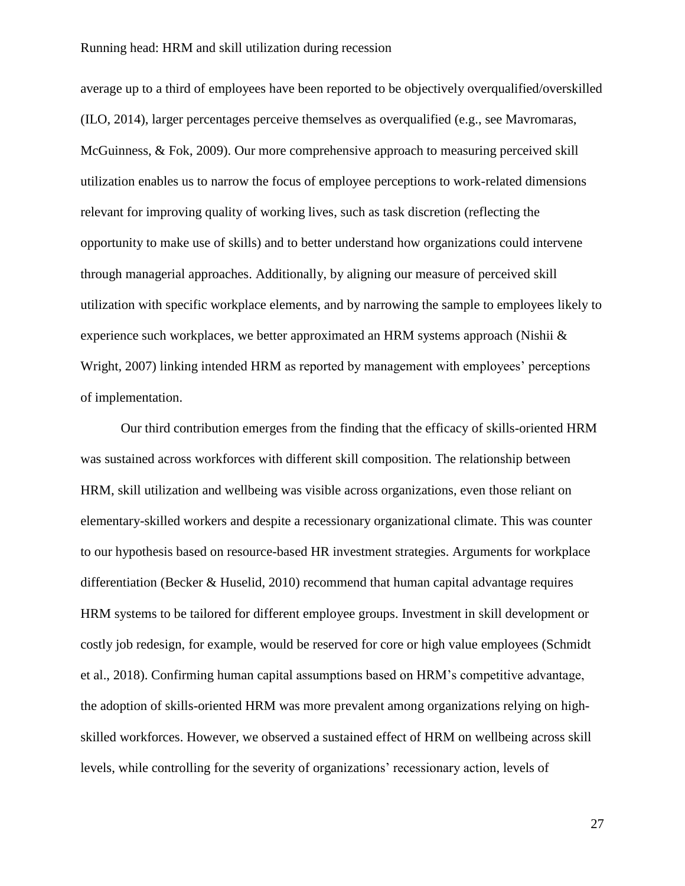average up to a third of employees have been reported to be objectively overqualified/overskilled (ILO, 2014), larger percentages perceive themselves as overqualified (e.g., see Mavromaras, McGuinness, & Fok, 2009). Our more comprehensive approach to measuring perceived skill utilization enables us to narrow the focus of employee perceptions to work-related dimensions relevant for improving quality of working lives, such as task discretion (reflecting the opportunity to make use of skills) and to better understand how organizations could intervene through managerial approaches. Additionally, by aligning our measure of perceived skill utilization with specific workplace elements, and by narrowing the sample to employees likely to experience such workplaces, we better approximated an HRM systems approach (Nishii & Wright, 2007) linking intended HRM as reported by management with employees' perceptions of implementation.

Our third contribution emerges from the finding that the efficacy of skills-oriented HRM was sustained across workforces with different skill composition. The relationship between HRM, skill utilization and wellbeing was visible across organizations, even those reliant on elementary-skilled workers and despite a recessionary organizational climate. This was counter to our hypothesis based on resource-based HR investment strategies. Arguments for workplace differentiation (Becker & Huselid, 2010) recommend that human capital advantage requires HRM systems to be tailored for different employee groups. Investment in skill development or costly job redesign, for example, would be reserved for core or high value employees (Schmidt et al., 2018). Confirming human capital assumptions based on HRM's competitive advantage, the adoption of skills-oriented HRM was more prevalent among organizations relying on highskilled workforces. However, we observed a sustained effect of HRM on wellbeing across skill levels, while controlling for the severity of organizations' recessionary action, levels of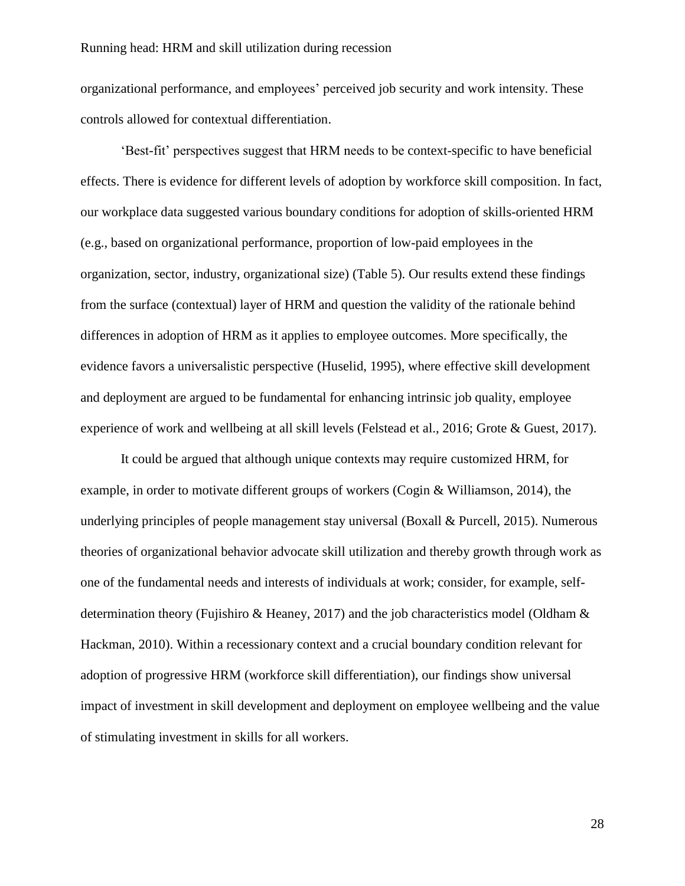organizational performance, and employees' perceived job security and work intensity. These controls allowed for contextual differentiation.

'Best-fit' perspectives suggest that HRM needs to be context-specific to have beneficial effects. There is evidence for different levels of adoption by workforce skill composition. In fact, our workplace data suggested various boundary conditions for adoption of skills-oriented HRM (e.g., based on organizational performance, proportion of low-paid employees in the organization, sector, industry, organizational size) (Table 5). Our results extend these findings from the surface (contextual) layer of HRM and question the validity of the rationale behind differences in adoption of HRM as it applies to employee outcomes. More specifically, the evidence favors a universalistic perspective (Huselid, 1995), where effective skill development and deployment are argued to be fundamental for enhancing intrinsic job quality, employee experience of work and wellbeing at all skill levels (Felstead et al., 2016; Grote & Guest, 2017).

It could be argued that although unique contexts may require customized HRM, for example, in order to motivate different groups of workers (Cogin & Williamson, 2014), the underlying principles of people management stay universal (Boxall & Purcell, 2015). Numerous theories of organizational behavior advocate skill utilization and thereby growth through work as one of the fundamental needs and interests of individuals at work; consider, for example, selfdetermination theory (Fujishiro & Heaney, 2017) and the job characteristics model (Oldham & Hackman, 2010). Within a recessionary context and a crucial boundary condition relevant for adoption of progressive HRM (workforce skill differentiation), our findings show universal impact of investment in skill development and deployment on employee wellbeing and the value of stimulating investment in skills for all workers.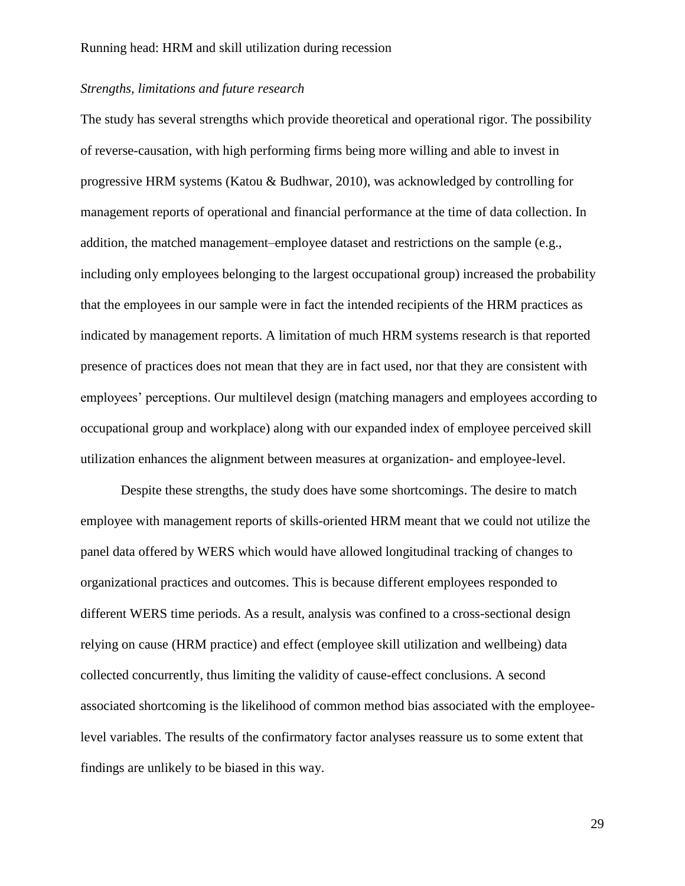## *Strengths, limitations and future research*

The study has several strengths which provide theoretical and operational rigor. The possibility of reverse-causation, with high performing firms being more willing and able to invest in progressive HRM systems (Katou & Budhwar, 2010), was acknowledged by controlling for management reports of operational and financial performance at the time of data collection. In addition, the matched management–employee dataset and restrictions on the sample (e.g., including only employees belonging to the largest occupational group) increased the probability that the employees in our sample were in fact the intended recipients of the HRM practices as indicated by management reports. A limitation of much HRM systems research is that reported presence of practices does not mean that they are in fact used, nor that they are consistent with employees' perceptions. Our multilevel design (matching managers and employees according to occupational group and workplace) along with our expanded index of employee perceived skill utilization enhances the alignment between measures at organization- and employee-level.

Despite these strengths, the study does have some shortcomings. The desire to match employee with management reports of skills-oriented HRM meant that we could not utilize the panel data offered by WERS which would have allowed longitudinal tracking of changes to organizational practices and outcomes. This is because different employees responded to different WERS time periods. As a result, analysis was confined to a cross-sectional design relying on cause (HRM practice) and effect (employee skill utilization and wellbeing) data collected concurrently, thus limiting the validity of cause-effect conclusions. A second associated shortcoming is the likelihood of common method bias associated with the employeelevel variables. The results of the confirmatory factor analyses reassure us to some extent that findings are unlikely to be biased in this way.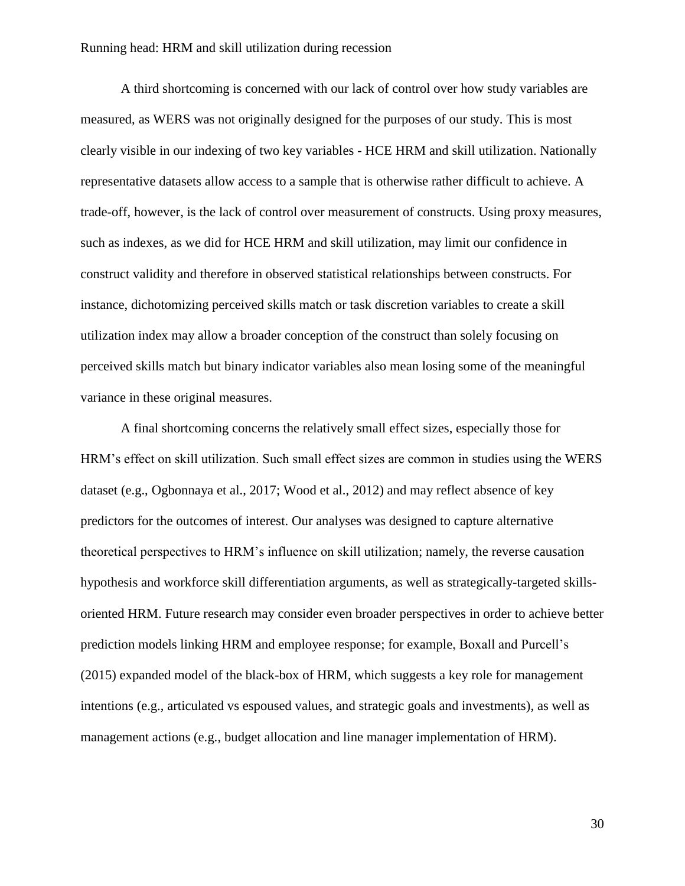A third shortcoming is concerned with our lack of control over how study variables are measured, as WERS was not originally designed for the purposes of our study. This is most clearly visible in our indexing of two key variables - HCE HRM and skill utilization. Nationally representative datasets allow access to a sample that is otherwise rather difficult to achieve. A trade-off, however, is the lack of control over measurement of constructs. Using proxy measures, such as indexes, as we did for HCE HRM and skill utilization, may limit our confidence in construct validity and therefore in observed statistical relationships between constructs. For instance, dichotomizing perceived skills match or task discretion variables to create a skill utilization index may allow a broader conception of the construct than solely focusing on perceived skills match but binary indicator variables also mean losing some of the meaningful variance in these original measures.

A final shortcoming concerns the relatively small effect sizes, especially those for HRM's effect on skill utilization. Such small effect sizes are common in studies using the WERS dataset (e.g., Ogbonnaya et al., 2017; Wood et al., 2012) and may reflect absence of key predictors for the outcomes of interest. Our analyses was designed to capture alternative theoretical perspectives to HRM's influence on skill utilization; namely, the reverse causation hypothesis and workforce skill differentiation arguments, as well as strategically-targeted skillsoriented HRM. Future research may consider even broader perspectives in order to achieve better prediction models linking HRM and employee response; for example, Boxall and Purcell's (2015) expanded model of the black-box of HRM, which suggests a key role for management intentions (e.g., articulated vs espoused values, and strategic goals and investments), as well as management actions (e.g., budget allocation and line manager implementation of HRM).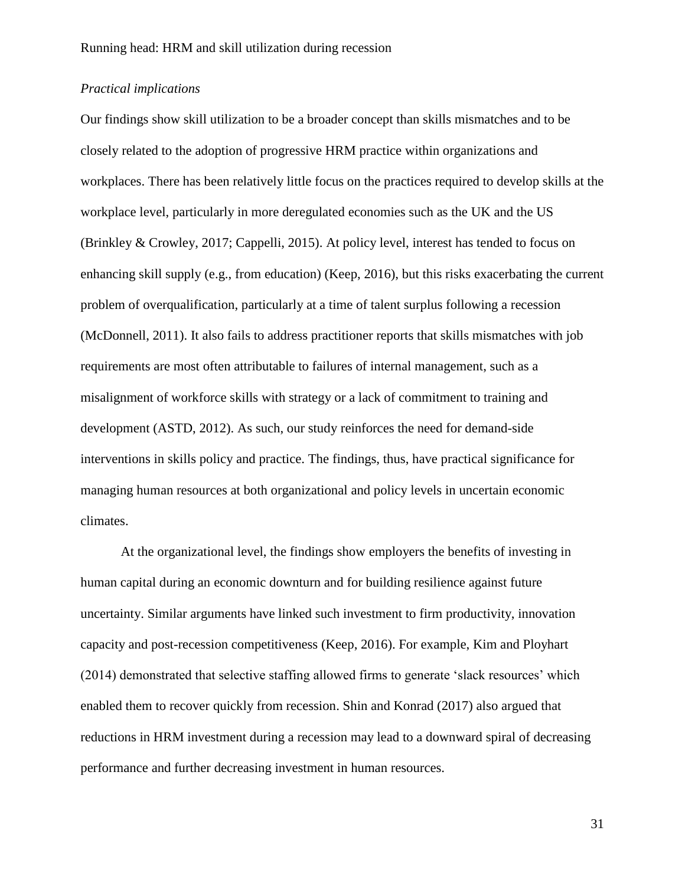## *Practical implications*

Our findings show skill utilization to be a broader concept than skills mismatches and to be closely related to the adoption of progressive HRM practice within organizations and workplaces. There has been relatively little focus on the practices required to develop skills at the workplace level, particularly in more deregulated economies such as the UK and the US (Brinkley & Crowley, 2017; Cappelli, 2015). At policy level, interest has tended to focus on enhancing skill supply (e.g., from education) (Keep, 2016), but this risks exacerbating the current problem of overqualification, particularly at a time of talent surplus following a recession (McDonnell, 2011). It also fails to address practitioner reports that skills mismatches with job requirements are most often attributable to failures of internal management, such as a misalignment of workforce skills with strategy or a lack of commitment to training and development (ASTD, 2012). As such, our study reinforces the need for demand-side interventions in skills policy and practice. The findings, thus, have practical significance for managing human resources at both organizational and policy levels in uncertain economic climates.

At the organizational level, the findings show employers the benefits of investing in human capital during an economic downturn and for building resilience against future uncertainty. Similar arguments have linked such investment to firm productivity, innovation capacity and post-recession competitiveness (Keep, 2016). For example, Kim and Ployhart (2014) demonstrated that selective staffing allowed firms to generate 'slack resources' which enabled them to recover quickly from recession. Shin and Konrad (2017) also argued that reductions in HRM investment during a recession may lead to a downward spiral of decreasing performance and further decreasing investment in human resources.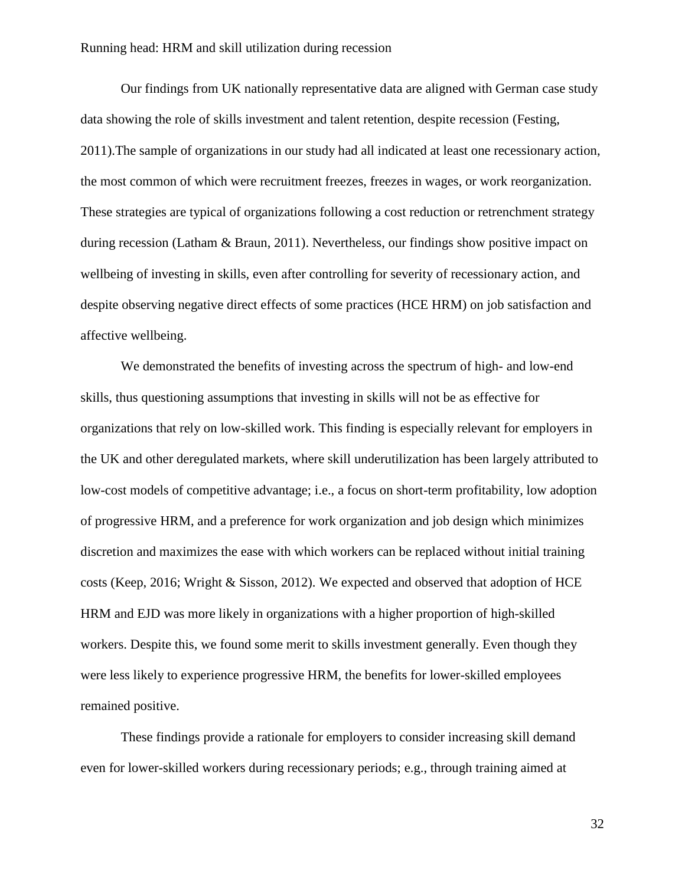Our findings from UK nationally representative data are aligned with German case study data showing the role of skills investment and talent retention, despite recession (Festing, 2011).The sample of organizations in our study had all indicated at least one recessionary action, the most common of which were recruitment freezes, freezes in wages, or work reorganization. These strategies are typical of organizations following a cost reduction or retrenchment strategy during recession (Latham & Braun, 2011). Nevertheless, our findings show positive impact on wellbeing of investing in skills, even after controlling for severity of recessionary action, and despite observing negative direct effects of some practices (HCE HRM) on job satisfaction and affective wellbeing.

We demonstrated the benefits of investing across the spectrum of high- and low-end skills, thus questioning assumptions that investing in skills will not be as effective for organizations that rely on low-skilled work. This finding is especially relevant for employers in the UK and other deregulated markets, where skill underutilization has been largely attributed to low-cost models of competitive advantage; i.e., a focus on short-term profitability, low adoption of progressive HRM, and a preference for work organization and job design which minimizes discretion and maximizes the ease with which workers can be replaced without initial training costs (Keep, 2016; Wright & Sisson, 2012). We expected and observed that adoption of HCE HRM and EJD was more likely in organizations with a higher proportion of high-skilled workers. Despite this, we found some merit to skills investment generally. Even though they were less likely to experience progressive HRM, the benefits for lower-skilled employees remained positive.

These findings provide a rationale for employers to consider increasing skill demand even for lower-skilled workers during recessionary periods; e.g., through training aimed at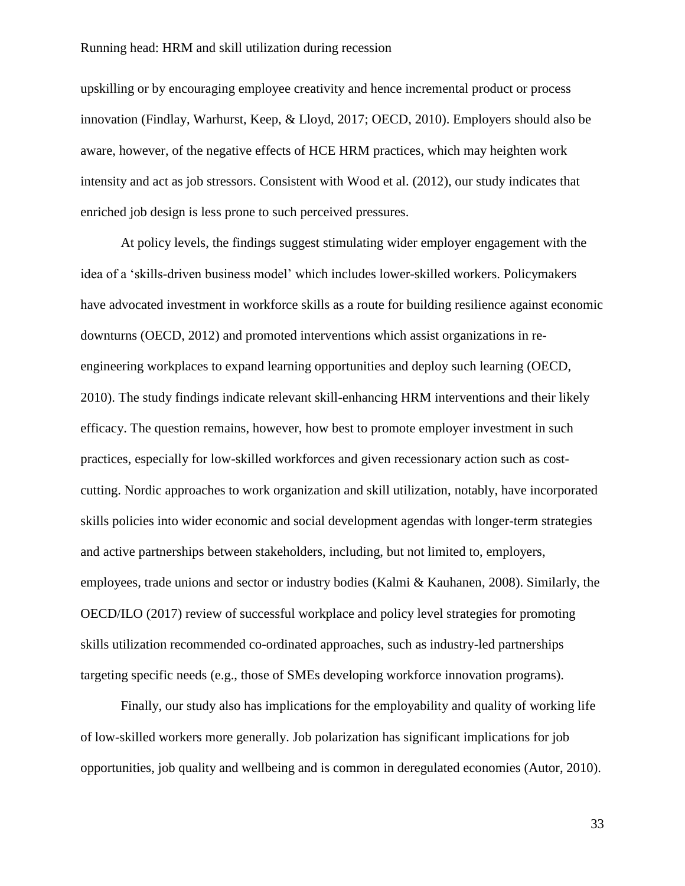upskilling or by encouraging employee creativity and hence incremental product or process innovation (Findlay, Warhurst, Keep, & Lloyd, 2017; OECD, 2010). Employers should also be aware, however, of the negative effects of HCE HRM practices, which may heighten work intensity and act as job stressors. Consistent with Wood et al. (2012), our study indicates that enriched job design is less prone to such perceived pressures.

At policy levels, the findings suggest stimulating wider employer engagement with the idea of a 'skills-driven business model' which includes lower-skilled workers. Policymakers have advocated investment in workforce skills as a route for building resilience against economic downturns (OECD, 2012) and promoted interventions which assist organizations in reengineering workplaces to expand learning opportunities and deploy such learning (OECD, 2010). The study findings indicate relevant skill-enhancing HRM interventions and their likely efficacy. The question remains, however, how best to promote employer investment in such practices, especially for low-skilled workforces and given recessionary action such as costcutting. Nordic approaches to work organization and skill utilization, notably, have incorporated skills policies into wider economic and social development agendas with longer-term strategies and active partnerships between stakeholders, including, but not limited to, employers, employees, trade unions and sector or industry bodies (Kalmi & Kauhanen, 2008). Similarly, the OECD/ILO (2017) review of successful workplace and policy level strategies for promoting skills utilization recommended co-ordinated approaches, such as industry-led partnerships targeting specific needs (e.g., those of SMEs developing workforce innovation programs).

Finally, our study also has implications for the employability and quality of working life of low-skilled workers more generally. Job polarization has significant implications for job opportunities, job quality and wellbeing and is common in deregulated economies (Autor, 2010).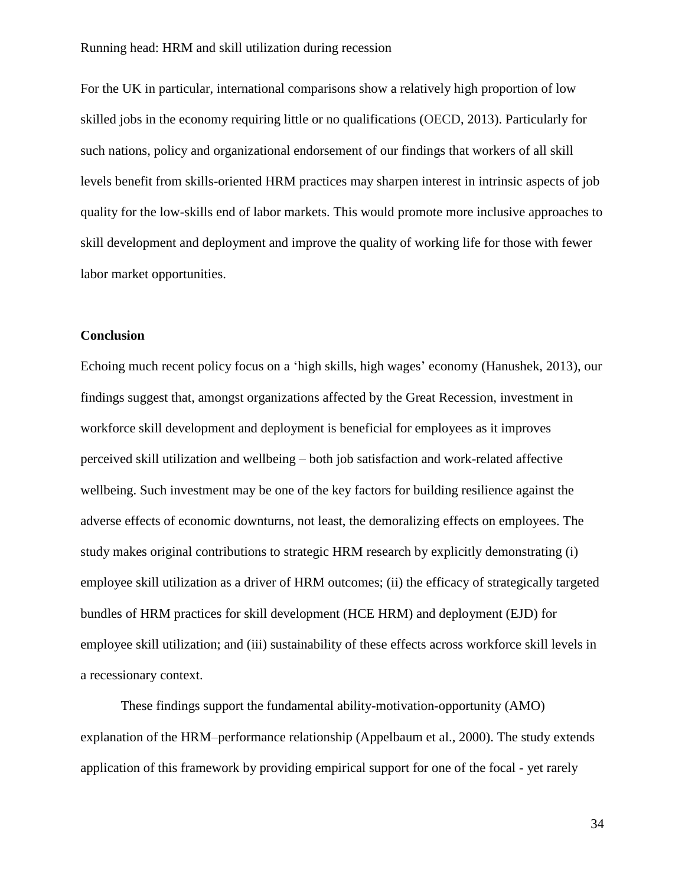For the UK in particular, international comparisons show a relatively high proportion of low skilled jobs in the economy requiring little or no qualifications (OECD, 2013). Particularly for such nations, policy and organizational endorsement of our findings that workers of all skill levels benefit from skills-oriented HRM practices may sharpen interest in intrinsic aspects of job quality for the low-skills end of labor markets. This would promote more inclusive approaches to skill development and deployment and improve the quality of working life for those with fewer labor market opportunities.

## **Conclusion**

Echoing much recent policy focus on a 'high skills, high wages' economy (Hanushek, 2013), our findings suggest that, amongst organizations affected by the Great Recession, investment in workforce skill development and deployment is beneficial for employees as it improves perceived skill utilization and wellbeing – both job satisfaction and work-related affective wellbeing. Such investment may be one of the key factors for building resilience against the adverse effects of economic downturns, not least, the demoralizing effects on employees. The study makes original contributions to strategic HRM research by explicitly demonstrating (i) employee skill utilization as a driver of HRM outcomes; (ii) the efficacy of strategically targeted bundles of HRM practices for skill development (HCE HRM) and deployment (EJD) for employee skill utilization; and (iii) sustainability of these effects across workforce skill levels in a recessionary context.

These findings support the fundamental ability-motivation-opportunity (AMO) explanation of the HRM–performance relationship (Appelbaum et al., 2000). The study extends application of this framework by providing empirical support for one of the focal - yet rarely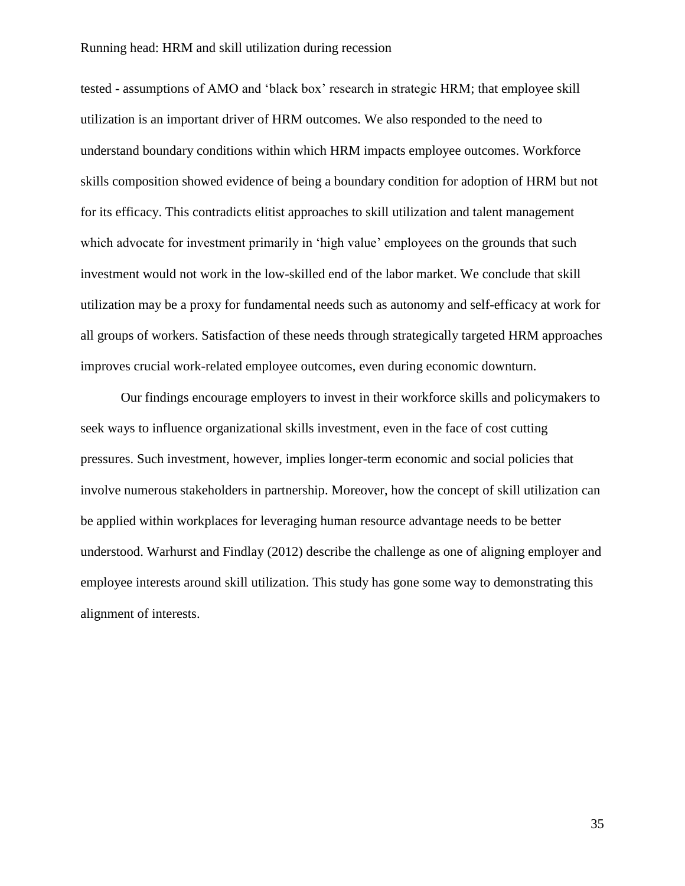tested - assumptions of AMO and 'black box' research in strategic HRM; that employee skill utilization is an important driver of HRM outcomes. We also responded to the need to understand boundary conditions within which HRM impacts employee outcomes. Workforce skills composition showed evidence of being a boundary condition for adoption of HRM but not for its efficacy. This contradicts elitist approaches to skill utilization and talent management which advocate for investment primarily in 'high value' employees on the grounds that such investment would not work in the low-skilled end of the labor market. We conclude that skill utilization may be a proxy for fundamental needs such as autonomy and self-efficacy at work for all groups of workers. Satisfaction of these needs through strategically targeted HRM approaches improves crucial work-related employee outcomes, even during economic downturn.

Our findings encourage employers to invest in their workforce skills and policymakers to seek ways to influence organizational skills investment, even in the face of cost cutting pressures. Such investment, however, implies longer-term economic and social policies that involve numerous stakeholders in partnership. Moreover, how the concept of skill utilization can be applied within workplaces for leveraging human resource advantage needs to be better understood. Warhurst and Findlay (2012) describe the challenge as one of aligning employer and employee interests around skill utilization. This study has gone some way to demonstrating this alignment of interests.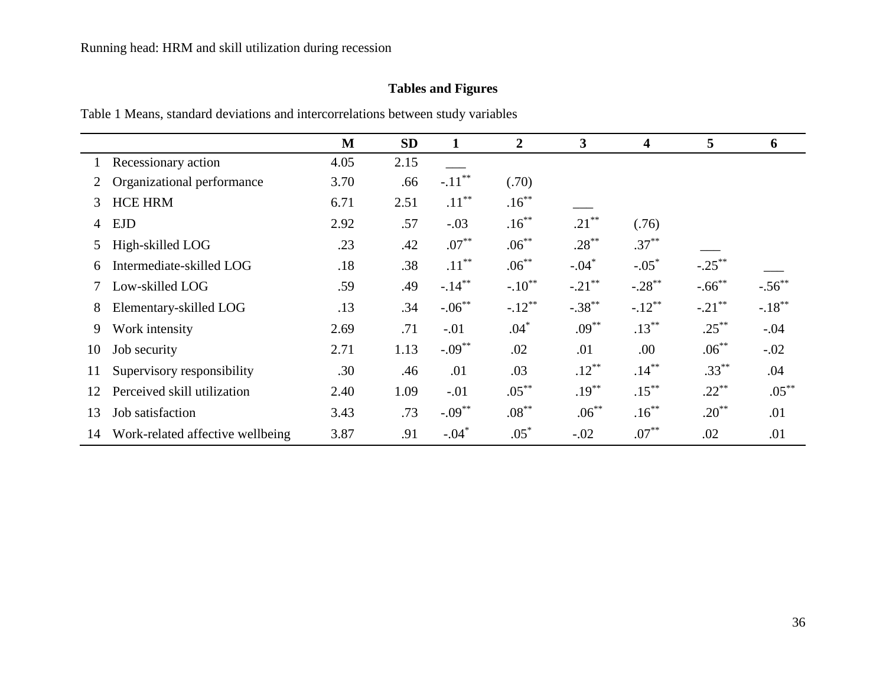# **Tables and Figures**

Table 1 Means, standard deviations and intercorrelations between study variables

|                |                                  | M    | <b>SD</b> | $\mathbf{1}$ | $\overline{2}$ | $\mathbf{3}$ | $\overline{\mathbf{4}}$ | 5         | 6         |
|----------------|----------------------------------|------|-----------|--------------|----------------|--------------|-------------------------|-----------|-----------|
|                | Recessionary action              | 4.05 | 2.15      |              |                |              |                         |           |           |
|                | Organizational performance       | 3.70 | .66       | $-.11***$    | (.70)          |              |                         |           |           |
| 3              | <b>HCE HRM</b>                   | 6.71 | 2.51      | $.11***$     | $.16***$       |              |                         |           |           |
| $\overline{4}$ | <b>EJD</b>                       | 2.92 | .57       | $-.03$       | $.16***$       | $.21***$     | (.76)                   |           |           |
| 5              | High-skilled LOG                 | .23  | .42       | $.07***$     | $.06***$       | $.28***$     | $.37***$                |           |           |
| 6              | Intermediate-skilled LOG         | .18  | .38       | $.11***$     | $.06***$       | $-.04*$      | $-.05*$                 | $-.25***$ |           |
|                | Low-skilled LOG                  | .59  | .49       | $-.14***$    | $-.10^{**}$    | $-.21$ **    | $-.28$ **               | $-.66$ ** | $-.56$ ** |
| 8              | Elementary-skilled LOG           | .13  | .34       | $-.06***$    | $-.12***$      | $-.38***$    | $-.12***$               | $-.21***$ | $-.18***$ |
| 9              | Work intensity                   | 2.69 | .71       | $-.01$       | $.04*$         | $.09***$     | $.13***$                | $.25***$  | $-.04$    |
| 10             | Job security                     | 2.71 | 1.13      | $-.09***$    | .02            | .01          | .00                     | $.06***$  | $-.02$    |
| 11             | Supervisory responsibility       | .30  | .46       | .01          | .03            | $.12***$     | $.14***$                | $.33***$  | .04       |
| 12             | Perceived skill utilization      | 2.40 | 1.09      | $-.01$       | $.05***$       | $.19***$     | $.15***$                | $.22***$  | $.05***$  |
| 13             | Job satisfaction                 | 3.43 | .73       | $-.09***$    | $.08***$       | $.06***$     | $.16***$                | $.20***$  | .01       |
| 14             | Work-related affective wellbeing | 3.87 | .91       | $-.04*$      | $.05*$         | $-.02$       | $.07***$                | .02       | .01       |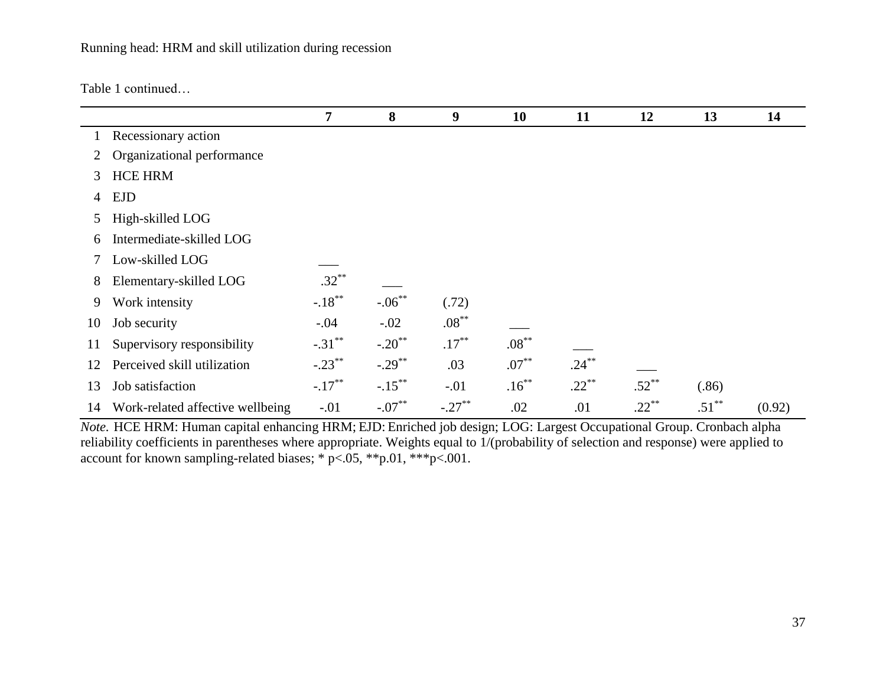Table 1 continued…

|    |                                  | 7         | 8                    | 9         | 10       | 11       | 12       | 13       | 14     |
|----|----------------------------------|-----------|----------------------|-----------|----------|----------|----------|----------|--------|
|    | Recessionary action              |           |                      |           |          |          |          |          |        |
| 2  | Organizational performance       |           |                      |           |          |          |          |          |        |
| 3  | <b>HCE HRM</b>                   |           |                      |           |          |          |          |          |        |
| 4  | <b>EJD</b>                       |           |                      |           |          |          |          |          |        |
| 5  | High-skilled LOG                 |           |                      |           |          |          |          |          |        |
| 6  | Intermediate-skilled LOG         |           |                      |           |          |          |          |          |        |
|    | Low-skilled LOG                  |           |                      |           |          |          |          |          |        |
| 8  | Elementary-skilled LOG           | $.32***$  |                      |           |          |          |          |          |        |
| 9  | Work intensity                   | $-.18***$ | $-.06***$            | (.72)     |          |          |          |          |        |
| 10 | Job security                     | $-.04$    | $-.02$               | $.08***$  |          |          |          |          |        |
| 11 | Supervisory responsibility       | $-.31***$ | $-.20$ <sup>**</sup> | $.17***$  | $.08***$ |          |          |          |        |
| 12 | Perceived skill utilization      | $-.23***$ | $-.29***$            | .03       | $.07***$ | $.24***$ |          |          |        |
| 13 | Job satisfaction                 | $-.17***$ | $-.15***$            | $-.01$    | $.16***$ | $.22***$ | $.52***$ | (.86)    |        |
| 14 | Work-related affective wellbeing | $-.01$    | $-.07***$            | $-.27***$ | .02      | .01      | $.22***$ | $.51***$ | (0.92) |

*Note.* HCE HRM: Human capital enhancing HRM; EJD: Enriched job design; LOG: Largest Occupational Group. Cronbach alpha reliability coefficients in parentheses where appropriate. Weights equal to 1/(probability of selection and response) were applied to account for known sampling-related biases; \*  $p < .05$ , \*\* $p$ .01, \*\*\* $p < .001$ .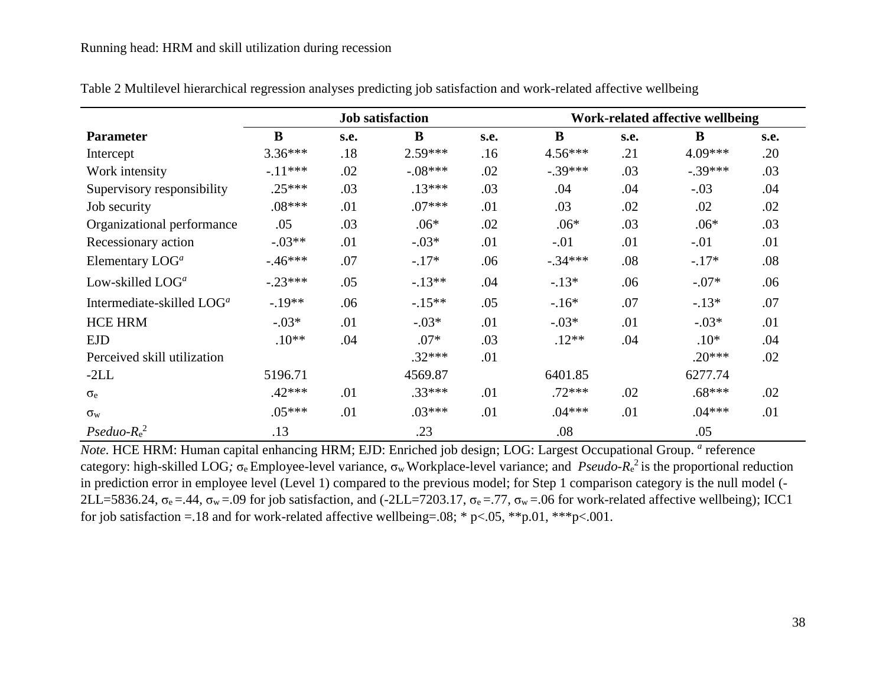|                                       | <b>Job satisfaction</b> |      |           |      | Work-related affective wellbeing |      |           |      |  |  |
|---------------------------------------|-------------------------|------|-----------|------|----------------------------------|------|-----------|------|--|--|
| <b>Parameter</b>                      | B                       | s.e. | B         | s.e. | $\bf{B}$                         | s.e. | $\bf{B}$  | s.e. |  |  |
| Intercept                             | $3.36***$               | .18  | 2.59***   | .16  | $4.56***$                        | .21  | $4.09***$ | .20  |  |  |
| Work intensity                        | $-11***$                | .02  | $-.08***$ | .02  | $-.39***$                        | .03  | $-.39***$ | .03  |  |  |
| Supervisory responsibility            | $.25***$                | .03  | $.13***$  | .03  | .04                              | .04  | $-.03$    | .04  |  |  |
| Job security                          | $.08***$                | .01  | $.07***$  | .01  | .03                              | .02  | .02       | .02  |  |  |
| Organizational performance            | .05                     | .03  | $.06*$    | .02  | $.06*$                           | .03  | $.06*$    | .03  |  |  |
| Recessionary action                   | $-.03**$                | .01  | $-.03*$   | .01  | $-.01$                           | .01  | $-.01$    | .01  |  |  |
| Elementary $LOGa$                     | $-46***$                | .07  | $-.17*$   | .06  | $-.34***$                        | .08  | $-.17*$   | .08  |  |  |
| Low-skilled $LOGa$                    | $-.23***$               | .05  | $-13**$   | .04  | $-.13*$                          | .06  | $-.07*$   | .06  |  |  |
| Intermediate-skilled LOG <sup>a</sup> | $-.19**$                | .06  | $-.15**$  | .05  | $-.16*$                          | .07  | $-.13*$   | .07  |  |  |
| <b>HCE HRM</b>                        | $-.03*$                 | .01  | $-.03*$   | .01  | $-.03*$                          | .01  | $-.03*$   | .01  |  |  |
| <b>EJD</b>                            | $.10**$                 | .04  | $.07*$    | .03  | $.12**$                          | .04  | $.10*$    | .04  |  |  |
| Perceived skill utilization           |                         |      | $.32***$  | .01  |                                  |      | $.20***$  | .02  |  |  |
| $-2LL$                                | 5196.71                 |      | 4569.87   |      | 6401.85                          |      | 6277.74   |      |  |  |
| $\sigma_e$                            | $.42***$                | .01  | $.33***$  | .01  | $.72***$                         | .02  | $.68***$  | .02  |  |  |
| $\sigma_{w}$                          | $.05***$                | .01  | $.03***$  | .01  | $.04***$                         | .01  | $.04***$  | .01  |  |  |
| $Pseudo-Re2$                          | .13                     |      | .23       |      | .08                              |      | .05       |      |  |  |

Table 2 Multilevel hierarchical regression analyses predicting job satisfaction and work-related affective wellbeing

*Note.* HCE HRM: Human capital enhancing HRM; EJD: Enriched job design; LOG: Largest Occupational Group. *a* reference category: high-skilled LOG*;* σ<sup>e</sup> Employee-level variance, σwWorkplace-level variance; and *Pseudo-R*<sup>e</sup> 2 is the proportional reduction in prediction error in employee level (Level 1) compared to the previous model; for Step 1 comparison category is the null model (- 2LL=5836.24,  $\sigma_e = .44$ ,  $\sigma_w = .09$  for job satisfaction, and (-2LL=7203.17,  $\sigma_e = .77$ ,  $\sigma_w = .06$  for work-related affective wellbeing); ICC1 for job satisfaction = 18 and for work-related affective wellbeing=.08; \* p<.05, \*\*p.01, \*\*\*p<.001.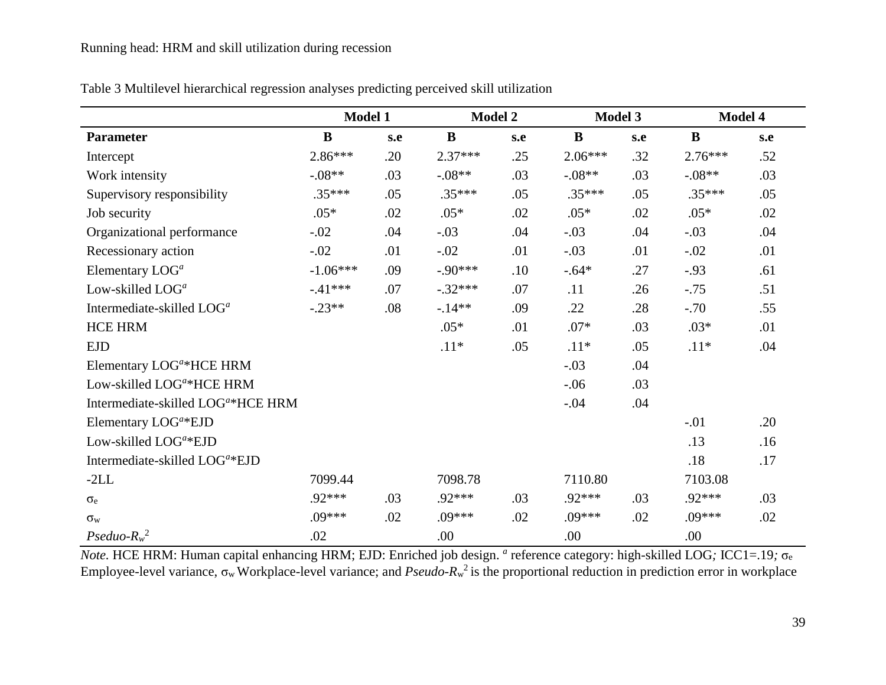|                                                | <b>Model 1</b> |     | <b>Model 2</b> |     | <b>Model 3</b> |     | Model 4   |     |
|------------------------------------------------|----------------|-----|----------------|-----|----------------|-----|-----------|-----|
| <b>Parameter</b>                               | B              | s.e | $\bf{B}$       | s.e | $\bf{B}$       | s.e | B         | s.e |
| Intercept                                      | $2.86***$      | .20 | $2.37***$      | .25 | $2.06***$      | .32 | $2.76***$ | .52 |
| Work intensity                                 | $-.08**$       | .03 | $-.08**$       | .03 | $-.08**$       | .03 | $-.08**$  | .03 |
| Supervisory responsibility                     | $.35***$       | .05 | $.35***$       | .05 | $.35***$       | .05 | $.35***$  | .05 |
| Job security                                   | $.05*$         | .02 | $.05*$         | .02 | $.05*$         | .02 | $.05*$    | .02 |
| Organizational performance                     | $-.02$         | .04 | $-.03$         | .04 | $-.03$         | .04 | $-.03$    | .04 |
| Recessionary action                            | $-.02$         | .01 | $-.02$         | .01 | $-.03$         | .01 | $-.02$    | .01 |
| Elementary LOG <sup>a</sup>                    | $-1.06***$     | .09 | $-.90***$      | .10 | $-.64*$        | .27 | $-.93$    | .61 |
| Low-skilled LOG <sup>a</sup>                   | $-.41***$      | .07 | $-.32***$      | .07 | .11            | .26 | $-.75$    | .51 |
| Intermediate-skilled LOG <sup>a</sup>          | $-.23**$       | .08 | $-14**$        | .09 | .22            | .28 | $-.70$    | .55 |
| <b>HCE HRM</b>                                 |                |     | $.05*$         | .01 | $.07*$         | .03 | $.03*$    | .01 |
| <b>EJD</b>                                     |                |     | $.11*$         | .05 | $.11*$         | .05 | $.11*$    | .04 |
| Elementary LOG <sup>a*</sup> HCE HRM           |                |     |                |     | $-.03$         | .04 |           |     |
| Low-skilled LOG <sup>a*</sup> HCE HRM          |                |     |                |     | $-.06$         | .03 |           |     |
| Intermediate-skilled LOG <sup>a*</sup> HCE HRM |                |     |                |     | $-.04$         | .04 |           |     |
| Elementary LOG <sup>a</sup> *EJD               |                |     |                |     |                |     | $-.01$    | .20 |
| Low-skilled LOG <sup>a</sup> *EJD              |                |     |                |     |                |     | .13       | .16 |
| Intermediate-skilled LOG <sup>a*</sup> EJD     |                |     |                |     |                |     | .18       | .17 |
| $-2LL$                                         | 7099.44        |     | 7098.78        |     | 7110.80        |     | 7103.08   |     |
| $\sigma_e$                                     | $.92***$       | .03 | .92***         | .03 | .92***         | .03 | .92***    | .03 |
| $\sigma_{\rm w}$                               | $.09***$       | .02 | $.09***$       | .02 | $.09***$       | .02 | $.09***$  | .02 |
| $Pseudo-Rw2$                                   | .02            |     | .00            |     | .00            |     | .00       |     |

Table 3 Multilevel hierarchical regression analyses predicting perceived skill utilization

*Note*. HCE HRM: Human capital enhancing HRM; EJD: Enriched job design. *a* reference category: high-skilled LOG; ICC1=.19; σ<sub>e</sub> Employee-level variance, σwWorkplace-level variance; and *Pseudo-R*<sup>w</sup> 2 is the proportional reduction in prediction error in workplace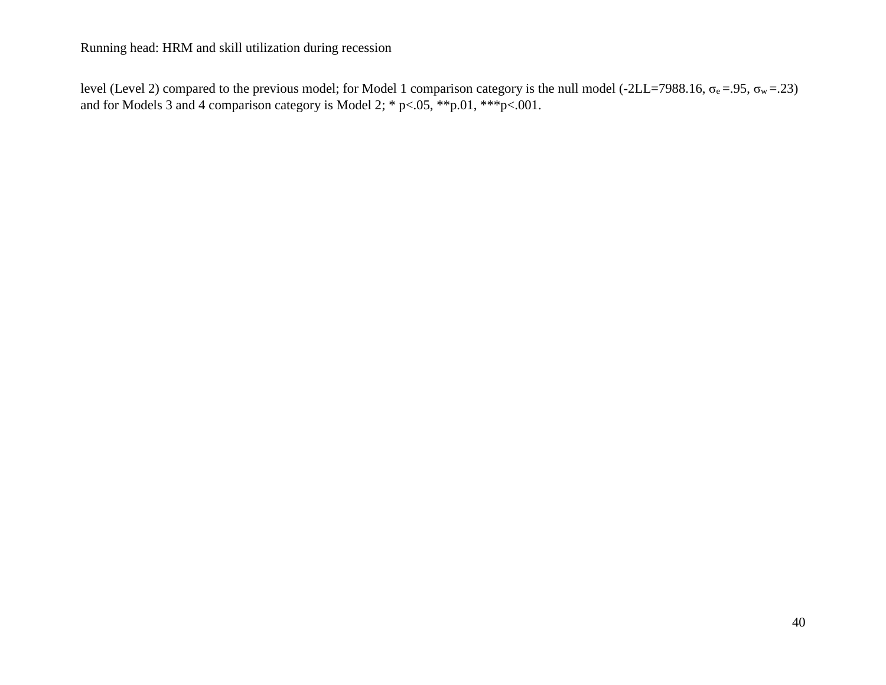level (Level 2) compared to the previous model; for Model 1 comparison category is the null model (-2LL=7988.16, σ<sub>e</sub>=.95, σ<sub>w</sub>=.23) and for Models 3 and 4 comparison category is Model 2; \* p<.05, \*\*p.01, \*\*\*p<.001.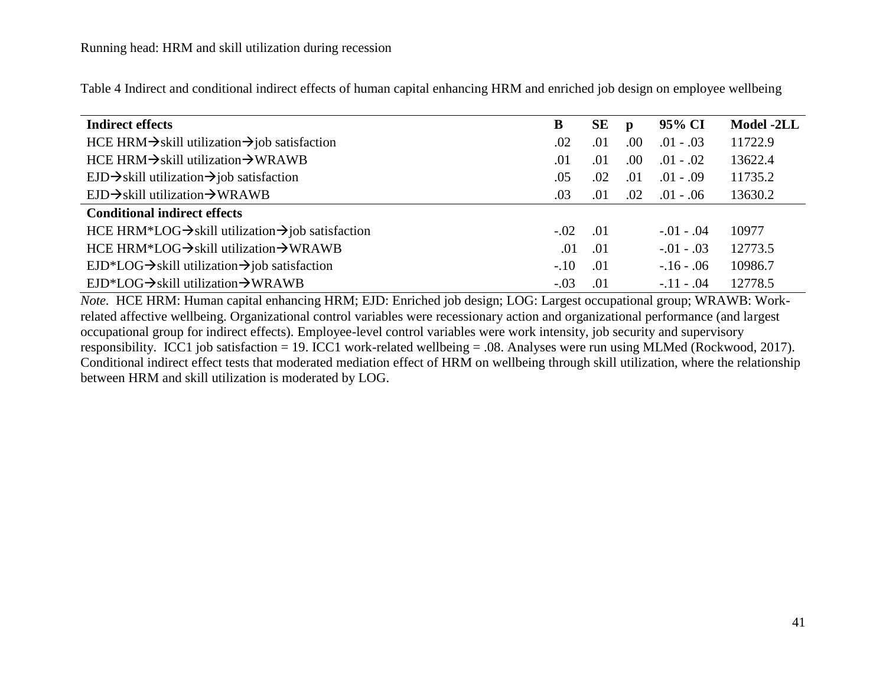| <b>Indirect effects</b>                                                    | B      | SЕ  | p   | 95% CI         | Model -2LL |
|----------------------------------------------------------------------------|--------|-----|-----|----------------|------------|
| HCE HRM $\rightarrow$ skill utilization $\rightarrow$ job satisfaction     | .02    | .01 | .00 | $.01 - .03$    | 11722.9    |
| $HCE$ HRM $\rightarrow$ skill utilization $\rightarrow$ WRAWB              | .01    | .01 | .00 | $.01-.02$      | 13622.4    |
| $EJD \rightarrow$ skill utilization $\rightarrow$ job satisfaction         | .05    | .02 | .01 | $.01 - .09$    | 11735.2    |
| $EJD \rightarrow$ skill utilization $\rightarrow$ WRAWB                    | .03    | .01 | .02 | $.01 - .06$    | 13630.2    |
| <b>Conditional indirect effects</b>                                        |        |     |     |                |            |
| HCE HRM*LOG $\rightarrow$ skill utilization $\rightarrow$ job satisfaction | $-.02$ | .01 |     | $-0.01 - 0.04$ | 10977      |
| HCE HRM*LOG $\rightarrow$ skill utilization $\rightarrow$ WRAWB            | .01    | .01 |     | $-0.01 - 0.03$ | 12773.5    |
| $EJD*LOG \rightarrow$ skill utilization $\rightarrow$ job satisfaction     | $-.10$ | .01 |     | $-16 - 0.06$   | 10986.7    |
| $EJD*LOG \rightarrow$ skill utilization $\rightarrow$ WRAWB                | $-.03$ | .01 |     | $-.11-.04$     | 12778.5    |

Table 4 Indirect and conditional indirect effects of human capital enhancing HRM and enriched job design on employee wellbeing

*Note.* HCE HRM: Human capital enhancing HRM; EJD: Enriched job design; LOG: Largest occupational group; WRAWB: Workrelated affective wellbeing. Organizational control variables were recessionary action and organizational performance (and largest occupational group for indirect effects). Employee-level control variables were work intensity, job security and supervisory responsibility. ICC1 job satisfaction = 19. ICC1 work-related wellbeing = .08. Analyses were run using MLMed (Rockwood, 2017). Conditional indirect effect tests that moderated mediation effect of HRM on wellbeing through skill utilization, where the relationship between HRM and skill utilization is moderated by LOG.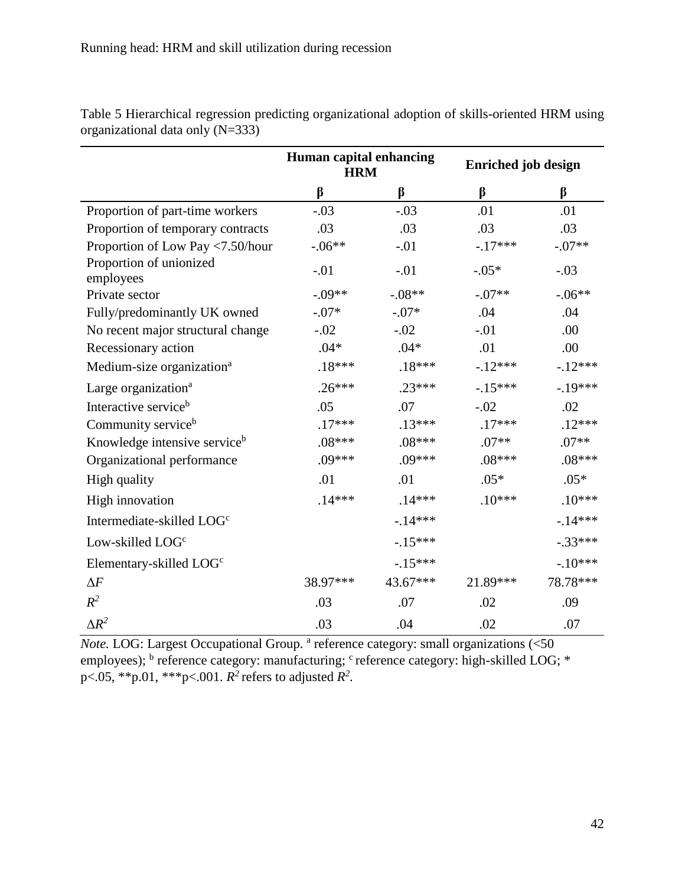|                                          | Human capital enhancing<br><b>HRM</b> |          | <b>Enriched job design</b> |           |  |  |
|------------------------------------------|---------------------------------------|----------|----------------------------|-----------|--|--|
|                                          | $\beta$                               | β        | β                          | $\beta$   |  |  |
| Proportion of part-time workers          | $-.03$                                | $-.03$   | .01                        | .01       |  |  |
| Proportion of temporary contracts        | .03                                   | .03      | .03                        | .03       |  |  |
| Proportion of Low Pay <7.50/hour         | $-.06**$                              | $-.01$   | $-.17***$                  | $-.07**$  |  |  |
| Proportion of unionized<br>employees     | $-.01$                                | $-.01$   | $-.05*$                    | $-.03$    |  |  |
| Private sector                           | $-.09**$                              | $-.08**$ | $-.07**$                   | $-.06**$  |  |  |
| Fully/predominantly UK owned             | $-.07*$                               | $-.07*$  | .04                        | .04       |  |  |
| No recent major structural change        | $-.02$                                | $-.02$   | $-.01$                     | .00       |  |  |
| Recessionary action                      | $.04*$                                | $.04*$   | .01                        | .00       |  |  |
| Medium-size organization <sup>a</sup>    | $.18***$                              | $.18***$ | $-12***$                   | $-12***$  |  |  |
| Large organization <sup>a</sup>          | $.26***$                              | $.23***$ | $-15***$                   | $-.19***$ |  |  |
| Interactive service <sup>b</sup>         | .05                                   | .07      | $-.02$                     | .02       |  |  |
| Community service <sup>b</sup>           | $.17***$                              | $.13***$ | $.17***$                   | $.12***$  |  |  |
| Knowledge intensive service <sup>b</sup> | $.08***$                              | $.08***$ | $.07**$                    | $.07**$   |  |  |
| Organizational performance               | $.09***$                              | $.09***$ | $.08***$                   | $.08***$  |  |  |
| High quality                             | .01                                   | .01      | $.05*$                     | $.05*$    |  |  |
| High innovation                          | $.14***$                              | $.14***$ | $.10***$                   | $.10***$  |  |  |
| Intermediate-skilled LOG <sup>c</sup>    |                                       | $-14***$ |                            | $-.14***$ |  |  |
| Low-skilled LOG <sup>c</sup>             |                                       | $-15***$ |                            | $-.33***$ |  |  |
| Elementary-skilled LOG <sup>c</sup>      |                                       | $-15***$ |                            | $-.10***$ |  |  |
| $\Delta F$                               | 38.97***                              | 43.67*** | 21.89***                   | 78.78***  |  |  |
| $\mathbb{R}^2$                           | .03                                   | .07      | .02                        | .09       |  |  |
| $\Delta R^2$                             | .03                                   | .04      | .02                        | .07       |  |  |

Table 5 Hierarchical regression predicting organizational adoption of skills-oriented HRM using organizational data only (N=333)

Note. LOG: Largest Occupational Group.<sup>a</sup> reference category: small organizations (<50 employees); <sup>b</sup> reference category: manufacturing; <sup>c</sup> reference category: high-skilled LOG; \* p<.05, \*\*p.01, \*\*\*p<.001.  $R^2$  refers to adjusted  $R^2$ .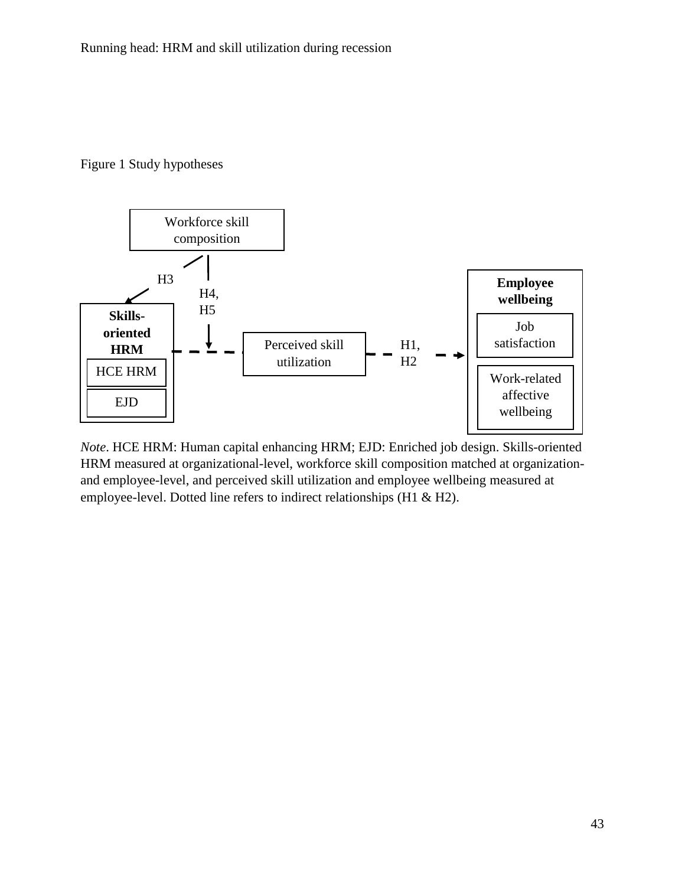## Figure 1 Study hypotheses



*Note*. HCE HRM: Human capital enhancing HRM; EJD: Enriched job design. Skills-oriented HRM measured at organizational-level, workforce skill composition matched at organizationand employee-level, and perceived skill utilization and employee wellbeing measured at employee-level. Dotted line refers to indirect relationships (H1 & H2).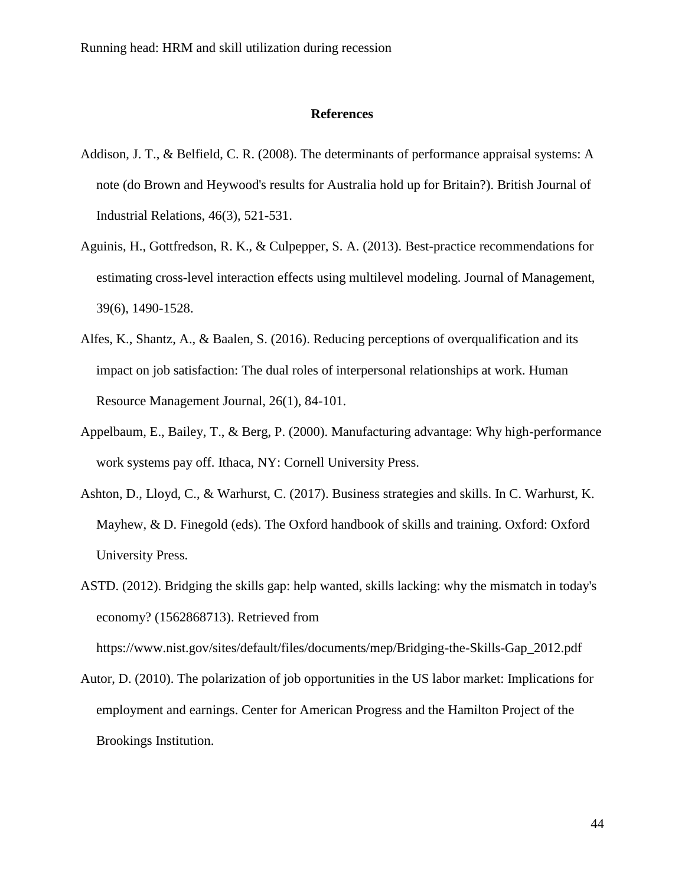#### **References**

- Addison, J. T., & Belfield, C. R. (2008). The determinants of performance appraisal systems: A note (do Brown and Heywood's results for Australia hold up for Britain?). British Journal of Industrial Relations, 46(3), 521-531.
- Aguinis, H., Gottfredson, R. K., & Culpepper, S. A. (2013). Best-practice recommendations for estimating cross-level interaction effects using multilevel modeling. Journal of Management, 39(6), 1490-1528.
- Alfes, K., Shantz, A., & Baalen, S. (2016). Reducing perceptions of overqualification and its impact on job satisfaction: The dual roles of interpersonal relationships at work. Human Resource Management Journal, 26(1), 84-101.
- Appelbaum, E., Bailey, T., & Berg, P. (2000). Manufacturing advantage: Why high-performance work systems pay off. Ithaca, NY: Cornell University Press.
- Ashton, D., Lloyd, C., & Warhurst, C. (2017). Business strategies and skills. In C. Warhurst, K. Mayhew, & D. Finegold (eds). The Oxford handbook of skills and training. Oxford: Oxford University Press.
- ASTD. (2012). Bridging the skills gap: help wanted, skills lacking: why the mismatch in today's economy? (1562868713). Retrieved from

https://www.nist.gov/sites/default/files/documents/mep/Bridging-the-Skills-Gap\_2012.pdf

Autor, D. (2010). The polarization of job opportunities in the US labor market: Implications for employment and earnings. Center for American Progress and the Hamilton Project of the Brookings Institution.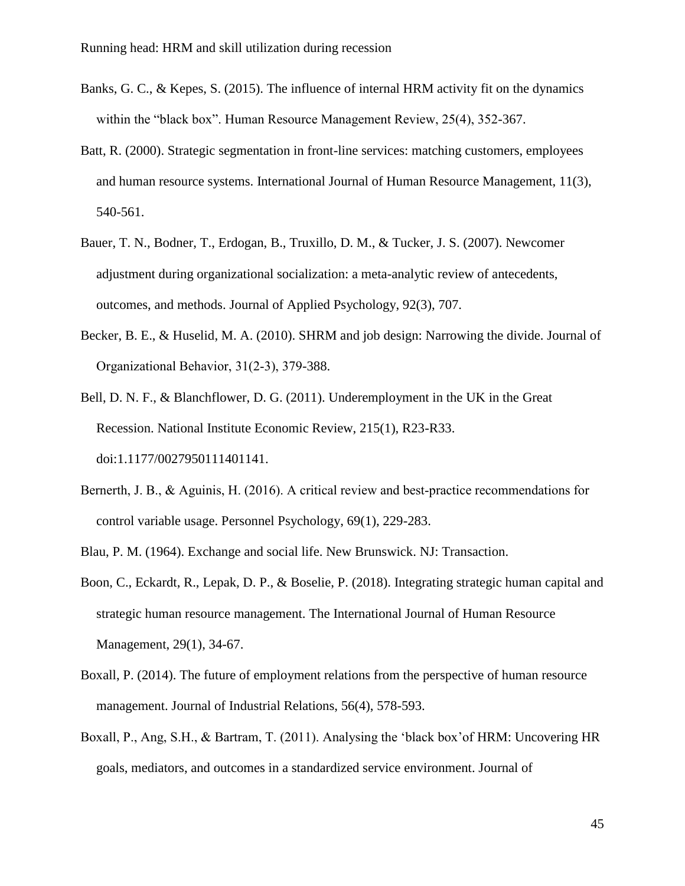- Banks, G. C., & Kepes, S. (2015). The influence of internal HRM activity fit on the dynamics within the "black box". Human Resource Management Review, 25(4), 352-367.
- Batt, R. (2000). Strategic segmentation in front-line services: matching customers, employees and human resource systems. International Journal of Human Resource Management, 11(3), 540-561.
- Bauer, T. N., Bodner, T., Erdogan, B., Truxillo, D. M., & Tucker, J. S. (2007). Newcomer adjustment during organizational socialization: a meta-analytic review of antecedents, outcomes, and methods. Journal of Applied Psychology, 92(3), 707.
- Becker, B. E., & Huselid, M. A. (2010). SHRM and job design: Narrowing the divide. Journal of Organizational Behavior, 31(2‐3), 379-388.
- Bell, D. N. F., & Blanchflower, D. G. (2011). Underemployment in the UK in the Great Recession. National Institute Economic Review, 215(1), R23-R33. doi:1.1177/0027950111401141.
- Bernerth, J. B., & Aguinis, H. (2016). A critical review and best-practice recommendations for control variable usage. Personnel Psychology, 69(1), 229-283.
- Blau, P. M. (1964). Exchange and social life. New Brunswick. NJ: Transaction.
- Boon, C., Eckardt, R., Lepak, D. P., & Boselie, P. (2018). Integrating strategic human capital and strategic human resource management. The International Journal of Human Resource Management, 29(1), 34-67.
- Boxall, P. (2014). The future of employment relations from the perspective of human resource management. Journal of Industrial Relations, 56(4), 578-593.
- Boxall, P., Ang, S.H., & Bartram, T. (2011). Analysing the 'black box'of HRM: Uncovering HR goals, mediators, and outcomes in a standardized service environment. Journal of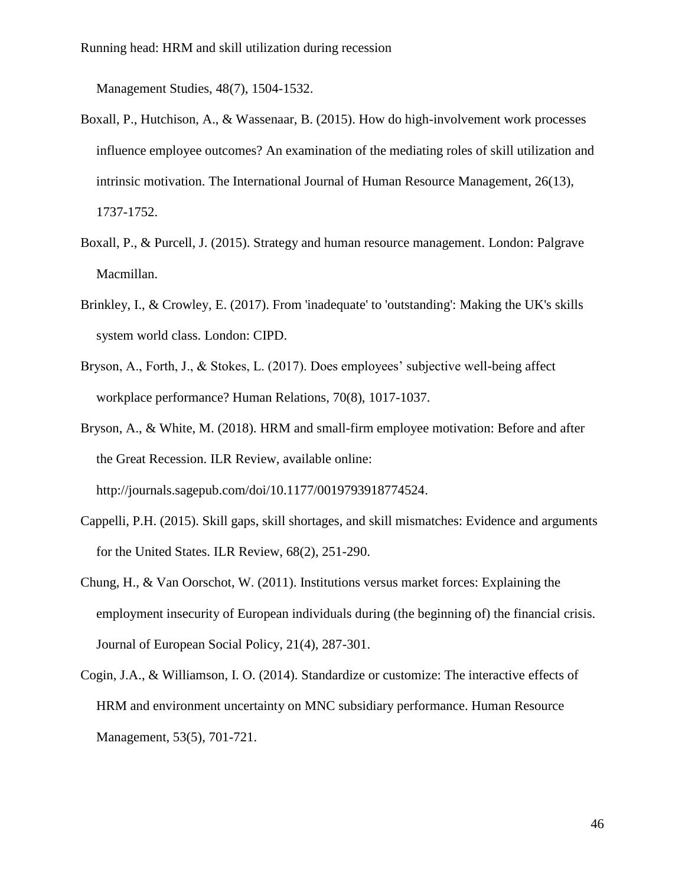Management Studies, 48(7), 1504-1532.

- Boxall, P., Hutchison, A., & Wassenaar, B. (2015). How do high-involvement work processes influence employee outcomes? An examination of the mediating roles of skill utilization and intrinsic motivation. The International Journal of Human Resource Management, 26(13), 1737-1752.
- Boxall, P., & Purcell, J. (2015). Strategy and human resource management. London: Palgrave Macmillan.
- Brinkley, I., & Crowley, E. (2017). From 'inadequate' to 'outstanding': Making the UK's skills system world class. London: CIPD.
- Bryson, A., Forth, J., & Stokes, L. (2017). Does employees' subjective well-being affect workplace performance? Human Relations, 70(8), 1017-1037.
- Bryson, A., & White, M. (2018). HRM and small-firm employee motivation: Before and after the Great Recession. ILR Review, available online: http://journals.sagepub.com/doi/10.1177/0019793918774524.
- Cappelli, P.H. (2015). Skill gaps, skill shortages, and skill mismatches: Evidence and arguments for the United States. ILR Review, 68(2), 251-290.
- Chung, H., & Van Oorschot, W. (2011). Institutions versus market forces: Explaining the employment insecurity of European individuals during (the beginning of) the financial crisis. Journal of European Social Policy, 21(4), 287-301.
- Cogin, J.A., & Williamson, I. O. (2014). Standardize or customize: The interactive effects of HRM and environment uncertainty on MNC subsidiary performance. Human Resource Management, 53(5), 701-721.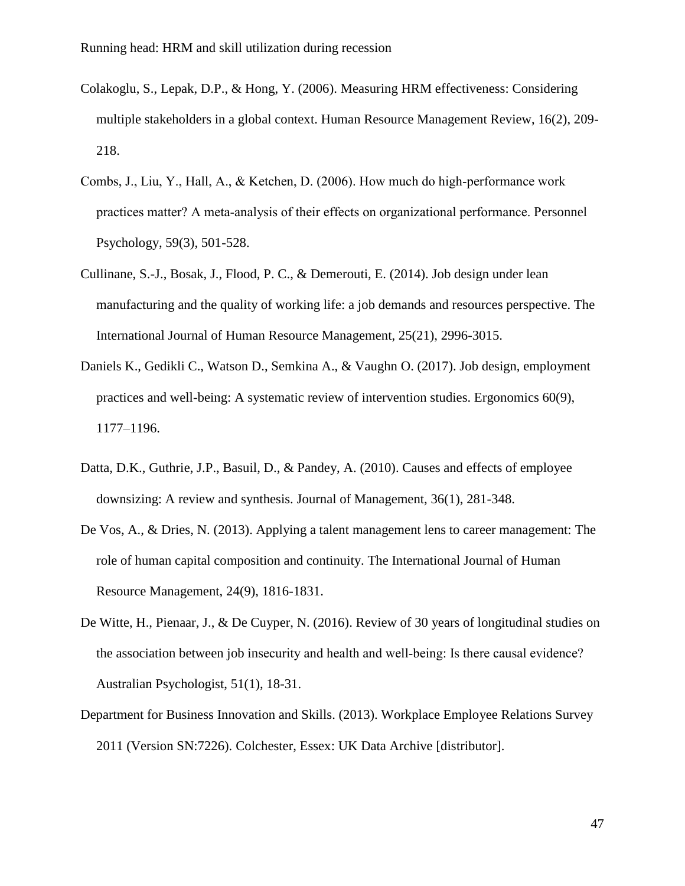- Colakoglu, S., Lepak, D.P., & Hong, Y. (2006). Measuring HRM effectiveness: Considering multiple stakeholders in a global context. Human Resource Management Review, 16(2), 209- 218.
- Combs, J., Liu, Y., Hall, A., & Ketchen, D. (2006). How much do high‐performance work practices matter? A meta‐analysis of their effects on organizational performance. Personnel Psychology, 59(3), 501-528.
- Cullinane, S.-J., Bosak, J., Flood, P. C., & Demerouti, E. (2014). Job design under lean manufacturing and the quality of working life: a job demands and resources perspective. The International Journal of Human Resource Management, 25(21), 2996-3015.
- Daniels K., Gedikli C., Watson D., Semkina A., & Vaughn O. (2017). Job design, employment practices and well-being: A systematic review of intervention studies. Ergonomics 60(9), 1177–1196.
- Datta, D.K., Guthrie, J.P., Basuil, D., & Pandey, A. (2010). Causes and effects of employee downsizing: A review and synthesis. Journal of Management, 36(1), 281-348.
- De Vos, A., & Dries, N. (2013). Applying a talent management lens to career management: The role of human capital composition and continuity. The International Journal of Human Resource Management, 24(9), 1816-1831.
- De Witte, H., Pienaar, J., & De Cuyper, N. (2016). Review of 30 years of longitudinal studies on the association between job insecurity and health and well‐being: Is there causal evidence? Australian Psychologist, 51(1), 18-31.
- Department for Business Innovation and Skills. (2013). Workplace Employee Relations Survey 2011 (Version SN:7226). Colchester, Essex: UK Data Archive [distributor].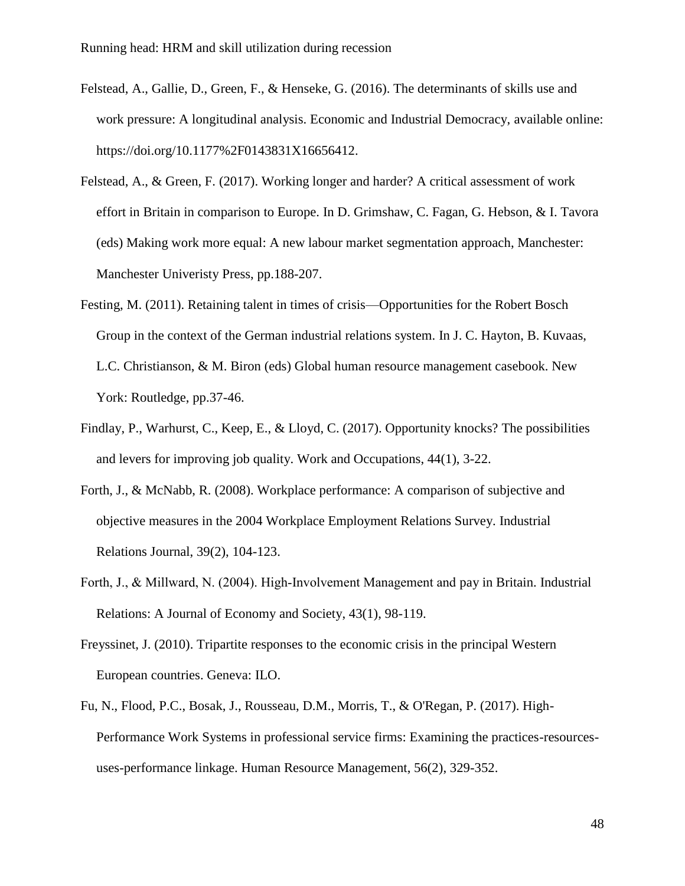- Felstead, A., Gallie, D., Green, F., & Henseke, G. (2016). The determinants of skills use and work pressure: A longitudinal analysis. Economic and Industrial Democracy, available online: https://doi.org/10.1177%2F0143831X16656412.
- Felstead, A., & Green, F. (2017). Working longer and harder? A critical assessment of work effort in Britain in comparison to Europe. In D. Grimshaw, C. Fagan, G. Hebson, & I. Tavora (eds) Making work more equal: A new labour market segmentation approach, Manchester: Manchester Univeristy Press, pp.188-207.
- Festing, M. (2011). Retaining talent in times of crisis—Opportunities for the Robert Bosch Group in the context of the German industrial relations system. In J. C. Hayton, B. Kuvaas, L.C. Christianson, & M. Biron (eds) Global human resource management casebook. New York: Routledge, pp.37-46.
- Findlay, P., Warhurst, C., Keep, E., & Lloyd, C. (2017). Opportunity knocks? The possibilities and levers for improving job quality. Work and Occupations, 44(1), 3-22.
- Forth, J., & McNabb, R. (2008). Workplace performance: A comparison of subjective and objective measures in the 2004 Workplace Employment Relations Survey. Industrial Relations Journal, 39(2), 104-123.
- Forth, J., & Millward, N. (2004). High‐Involvement Management and pay in Britain. Industrial Relations: A Journal of Economy and Society, 43(1), 98-119.
- Freyssinet, J. (2010). Tripartite responses to the economic crisis in the principal Western European countries. Geneva: ILO.
- Fu, N., Flood, P.C., Bosak, J., Rousseau, D.M., Morris, T., & O'Regan, P. (2017). High-Performance Work Systems in professional service firms: Examining the practices-resourcesuses-performance linkage. Human Resource Management, 56(2), 329-352.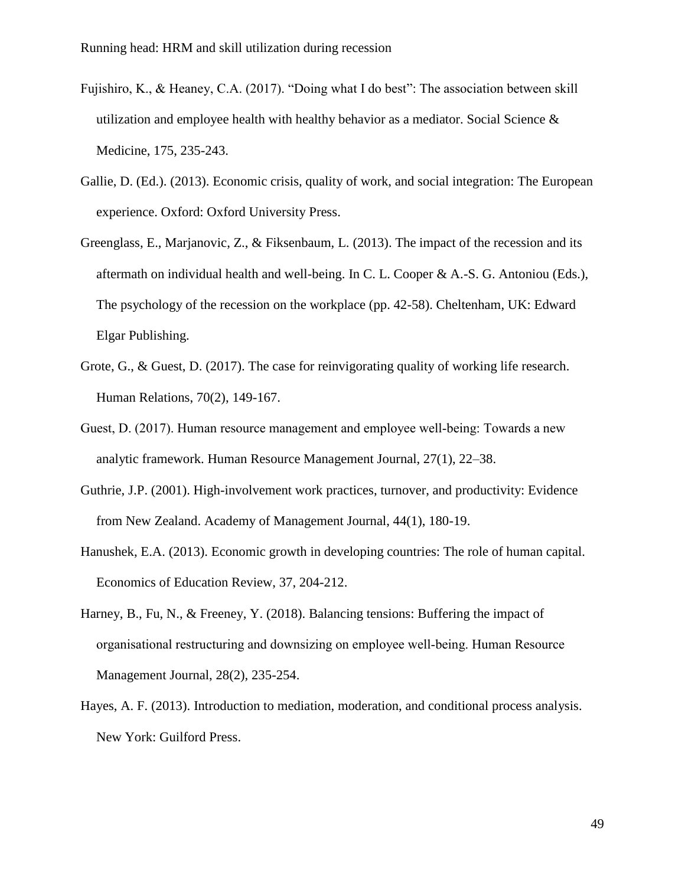- Fujishiro, K., & Heaney, C.A. (2017). "Doing what I do best": The association between skill utilization and employee health with healthy behavior as a mediator. Social Science  $\&$ Medicine, 175, 235-243.
- Gallie, D. (Ed.). (2013). Economic crisis, quality of work, and social integration: The European experience. Oxford: Oxford University Press.
- Greenglass, E., Marjanovic, Z., & Fiksenbaum, L. (2013). The impact of the recession and its aftermath on individual health and well-being. In C. L. Cooper & A.-S. G. Antoniou (Eds.), The psychology of the recession on the workplace (pp. 42-58). Cheltenham, UK: Edward Elgar Publishing.
- Grote, G., & Guest, D. (2017). The case for reinvigorating quality of working life research. Human Relations, 70(2), 149-167.
- Guest, D. (2017). Human resource management and employee well‐being: Towards a new analytic framework. Human Resource Management Journal, 27(1), 22–38.
- Guthrie, J.P. (2001). High-involvement work practices, turnover, and productivity: Evidence from New Zealand. Academy of Management Journal, 44(1), 180-19.
- Hanushek, E.A. (2013). Economic growth in developing countries: The role of human capital. Economics of Education Review, 37, 204-212.
- Harney, B., Fu, N., & Freeney, Y. (2018). Balancing tensions: Buffering the impact of organisational restructuring and downsizing on employee well‐being. Human Resource Management Journal, 28(2), 235-254.
- Hayes, A. F. (2013). Introduction to mediation, moderation, and conditional process analysis. New York: Guilford Press.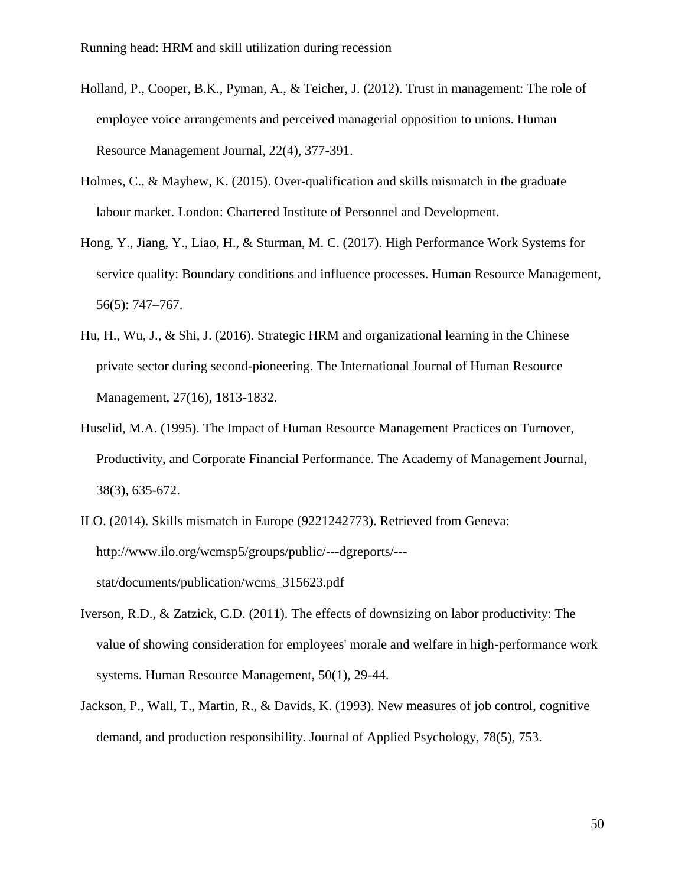- Holland, P., Cooper, B.K., Pyman, A., & Teicher, J. (2012). Trust in management: The role of employee voice arrangements and perceived managerial opposition to unions. Human Resource Management Journal, 22(4), 377-391.
- Holmes, C., & Mayhew, K. (2015). Over-qualification and skills mismatch in the graduate labour market. London: Chartered Institute of Personnel and Development.
- Hong, Y., Jiang, Y., Liao, H., & Sturman, M. C. (2017). High Performance Work Systems for service quality: Boundary conditions and influence processes. Human Resource Management, 56(5): 747–767.
- Hu, H., Wu, J., & Shi, J. (2016). Strategic HRM and organizational learning in the Chinese private sector during second-pioneering. The International Journal of Human Resource Management, 27(16), 1813-1832.
- Huselid, M.A. (1995). The Impact of Human Resource Management Practices on Turnover, Productivity, and Corporate Financial Performance. The Academy of Management Journal, 38(3), 635-672.
- ILO. (2014). Skills mismatch in Europe (9221242773). Retrieved from Geneva: http://www.ilo.org/wcmsp5/groups/public/---dgreports/-- stat/documents/publication/wcms\_315623.pdf
- Iverson, R.D., & Zatzick, C.D. (2011). The effects of downsizing on labor productivity: The value of showing consideration for employees' morale and welfare in high-performance work systems. Human Resource Management, 50(1), 29-44.
- Jackson, P., Wall, T., Martin, R., & Davids, K. (1993). New measures of job control, cognitive demand, and production responsibility. Journal of Applied Psychology, 78(5), 753.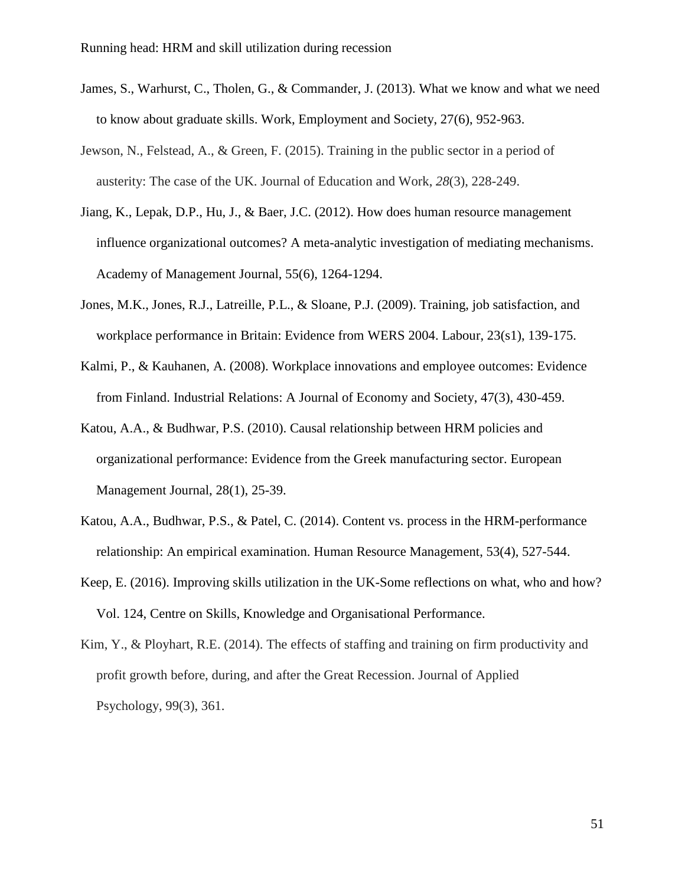- James, S., Warhurst, C., Tholen, G., & Commander, J. (2013). What we know and what we need to know about graduate skills. Work, Employment and Society, 27(6), 952-963.
- Jewson, N., Felstead, A., & Green, F. (2015). Training in the public sector in a period of austerity: The case of the UK. Journal of Education and Work, *28*(3), 228-249.
- Jiang, K., Lepak, D.P., Hu, J., & Baer, J.C. (2012). How does human resource management influence organizational outcomes? A meta-analytic investigation of mediating mechanisms. Academy of Management Journal, 55(6), 1264-1294.
- Jones, M.K., Jones, R.J., Latreille, P.L., & Sloane, P.J. (2009). Training, job satisfaction, and workplace performance in Britain: Evidence from WERS 2004. Labour, 23(s1), 139-175.
- Kalmi, P., & Kauhanen, A. (2008). Workplace innovations and employee outcomes: Evidence from Finland. Industrial Relations: A Journal of Economy and Society, 47(3), 430-459.
- Katou, A.A., & Budhwar, P.S. (2010). Causal relationship between HRM policies and organizational performance: Evidence from the Greek manufacturing sector. European Management Journal, 28(1), 25-39.
- Katou, A.A., Budhwar, P.S., & Patel, C. (2014). Content vs. process in the HRM-performance relationship: An empirical examination. Human Resource Management, 53(4), 527-544.
- Keep, E. (2016). Improving skills utilization in the UK-Some reflections on what, who and how? Vol. 124, Centre on Skills, Knowledge and Organisational Performance.
- Kim, Y., & Ployhart, R.E. (2014). The effects of staffing and training on firm productivity and profit growth before, during, and after the Great Recession. Journal of Applied Psychology, 99(3), 361.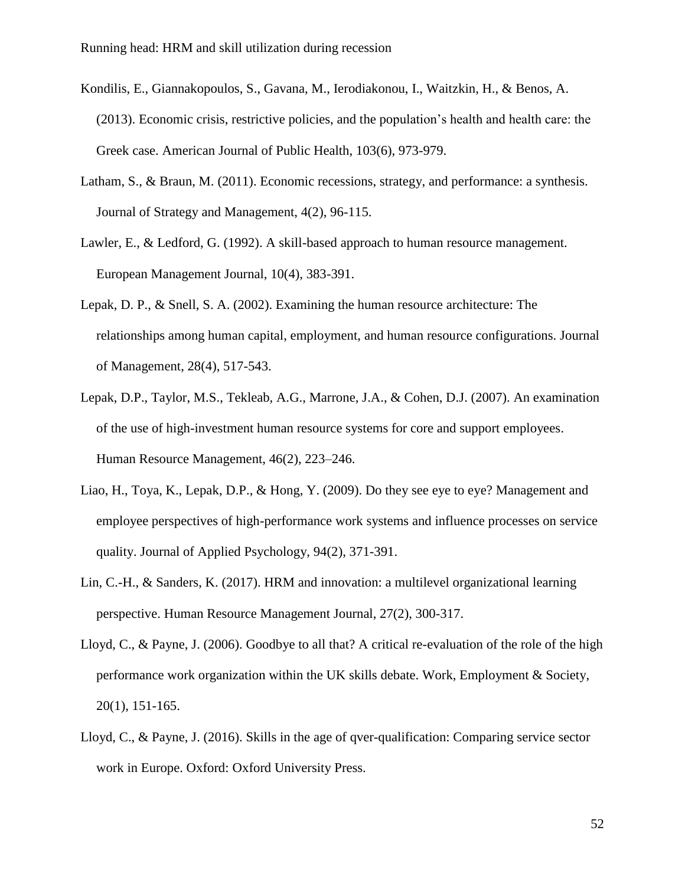- Kondilis, E., Giannakopoulos, S., Gavana, M., Ierodiakonou, I., Waitzkin, H., & Benos, A. (2013). Economic crisis, restrictive policies, and the population's health and health care: the Greek case. American Journal of Public Health, 103(6), 973-979.
- Latham, S., & Braun, M. (2011). Economic recessions, strategy, and performance: a synthesis. Journal of Strategy and Management, 4(2), 96-115.
- Lawler, E., & Ledford, G. (1992). A skill-based approach to human resource management. European Management Journal, 10(4), 383-391.
- Lepak, D. P., & Snell, S. A. (2002). Examining the human resource architecture: The relationships among human capital, employment, and human resource configurations. Journal of Management, 28(4), 517-543.
- Lepak, D.P., Taylor, M.S., Tekleab, A.G., Marrone, J.A., & Cohen, D.J. (2007). An examination of the use of high-investment human resource systems for core and support employees. Human Resource Management, 46(2), 223–246.
- Liao, H., Toya, K., Lepak, D.P., & Hong, Y. (2009). Do they see eye to eye? Management and employee perspectives of high-performance work systems and influence processes on service quality. Journal of Applied Psychology, 94(2), 371-391.
- Lin, C.-H., & Sanders, K. (2017). HRM and innovation: a multilevel organizational learning perspective. Human Resource Management Journal, 27(2), 300-317.
- Lloyd, C., & Payne, J. (2006). Goodbye to all that? A critical re-evaluation of the role of the high performance work organization within the UK skills debate. Work, Employment & Society, 20(1), 151-165.
- Lloyd, C., & Payne, J. (2016). Skills in the age of qver-qualification: Comparing service sector work in Europe. Oxford: Oxford University Press.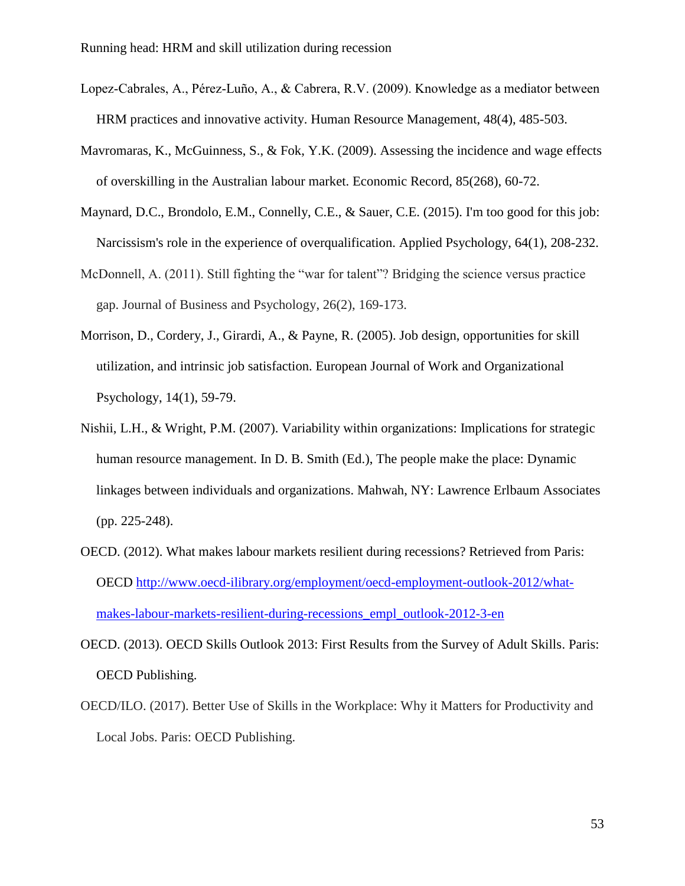- Lopez‐Cabrales, A., Pérez‐Luño, A., & Cabrera, R.V. (2009). Knowledge as a mediator between HRM practices and innovative activity. Human Resource Management, 48(4), 485-503.
- Mavromaras, K., McGuinness, S., & Fok, Y.K. (2009). Assessing the incidence and wage effects of overskilling in the Australian labour market. Economic Record, 85(268), 60-72.
- Maynard, D.C., Brondolo, E.M., Connelly, C.E., & Sauer, C.E. (2015). I'm too good for this job: Narcissism's role in the experience of overqualification. Applied Psychology, 64(1), 208-232.
- McDonnell, A. (2011). Still fighting the "war for talent"? Bridging the science versus practice gap. Journal of Business and Psychology, 26(2), 169-173.
- Morrison, D., Cordery, J., Girardi, A., & Payne, R. (2005). Job design, opportunities for skill utilization, and intrinsic job satisfaction. European Journal of Work and Organizational Psychology, 14(1), 59-79.
- Nishii, L.H., & Wright, P.M. (2007). Variability within organizations: Implications for strategic human resource management. In D. B. Smith (Ed.), The people make the place: Dynamic linkages between individuals and organizations. Mahwah, NY: Lawrence Erlbaum Associates (pp. 225-248).
- OECD. (2012). What makes labour markets resilient during recessions? Retrieved from Paris: OECD [http://www.oecd-ilibrary.org/employment/oecd-employment-outlook-2012/what](http://www.oecd-ilibrary.org/employment/oecd-employment-outlook-2012/what-makes-labour-markets-resilient-during-recessions_empl_outlook-2012-3-en)[makes-labour-markets-resilient-during-recessions\\_empl\\_outlook-2012-3-en](http://www.oecd-ilibrary.org/employment/oecd-employment-outlook-2012/what-makes-labour-markets-resilient-during-recessions_empl_outlook-2012-3-en)
- OECD. (2013). OECD Skills Outlook 2013: First Results from the Survey of Adult Skills. Paris: OECD Publishing.
- OECD/ILO. (2017). Better Use of Skills in the Workplace: Why it Matters for Productivity and Local Jobs. Paris: OECD Publishing.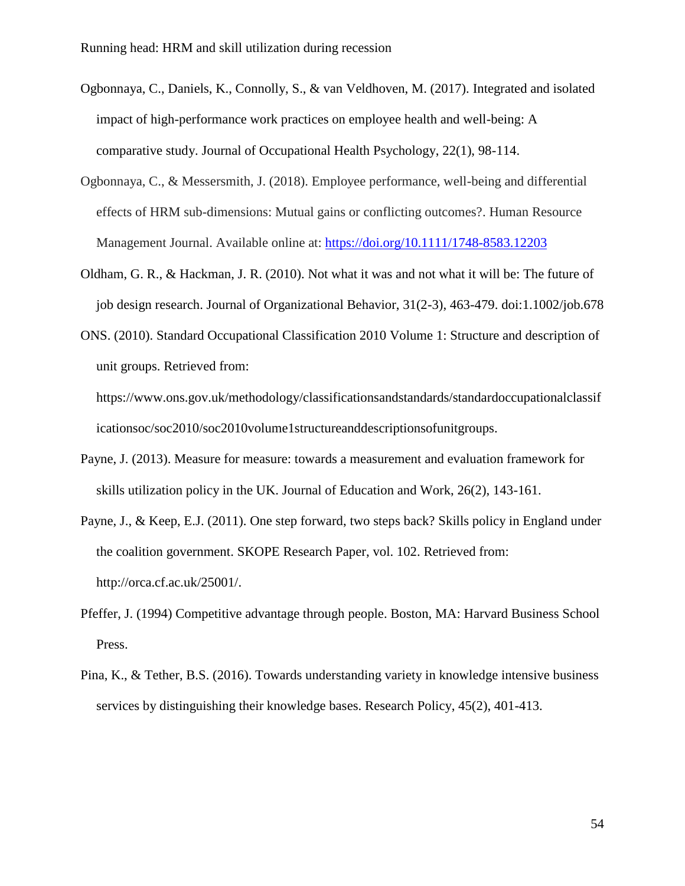- Ogbonnaya, C., Daniels, K., Connolly, S., & van Veldhoven, M. (2017). Integrated and isolated impact of high-performance work practices on employee health and well-being: A comparative study. Journal of Occupational Health Psychology, 22(1), 98-114.
- Ogbonnaya, C., & Messersmith, J. (2018). Employee performance, well-being and differential effects of HRM sub-dimensions: Mutual gains or conflicting outcomes?. Human Resource Management Journal. Available online at:<https://doi.org/10.1111/1748-8583.12203>
- Oldham, G. R., & Hackman, J. R. (2010). Not what it was and not what it will be: The future of job design research. Journal of Organizational Behavior, 31(2-3), 463-479. doi:1.1002/job.678
- ONS. (2010). Standard Occupational Classification 2010 Volume 1: Structure and description of unit groups. Retrieved from:

https://www.ons.gov.uk/methodology/classificationsandstandards/standardoccupationalclassif icationsoc/soc2010/soc2010volume1structureanddescriptionsofunitgroups.

- Payne, J. (2013). Measure for measure: towards a measurement and evaluation framework for skills utilization policy in the UK. Journal of Education and Work, 26(2), 143-161.
- Payne, J., & Keep, E.J. (2011). One step forward, two steps back? Skills policy in England under the coalition government. SKOPE Research Paper, vol. 102. Retrieved from: http://orca.cf.ac.uk/25001/.
- Pfeffer, J. (1994) Competitive advantage through people. Boston, MA: Harvard Business School Press.
- Pina, K., & Tether, B.S. (2016). Towards understanding variety in knowledge intensive business services by distinguishing their knowledge bases. Research Policy, 45(2), 401-413.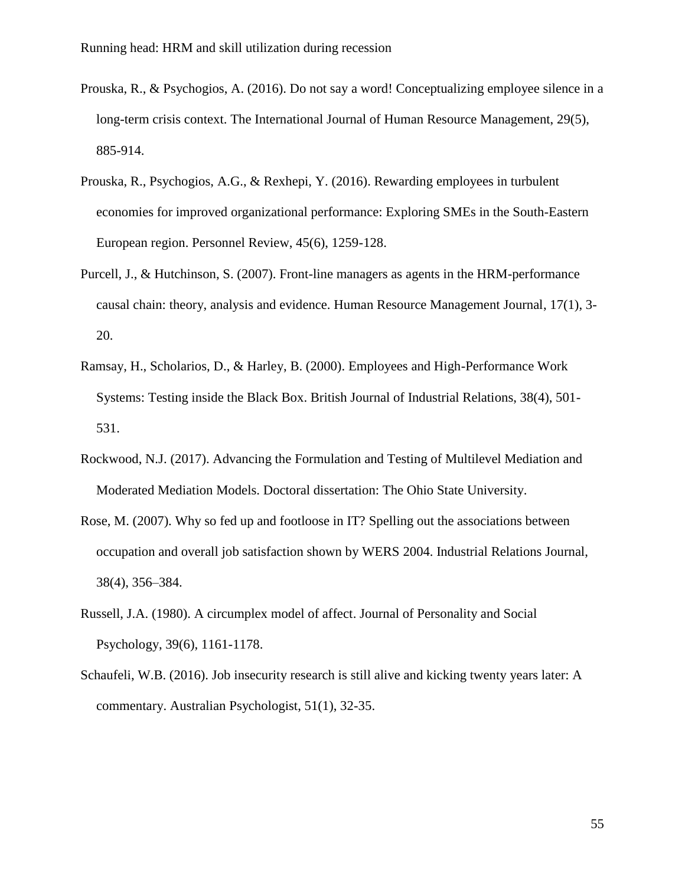- Prouska, R., & Psychogios, A. (2016). Do not say a word! Conceptualizing employee silence in a long-term crisis context. The International Journal of Human Resource Management, 29(5), 885-914.
- Prouska, R., Psychogios, A.G., & Rexhepi, Y. (2016). Rewarding employees in turbulent economies for improved organizational performance: Exploring SMEs in the South-Eastern European region. Personnel Review, 45(6), 1259-128.
- Purcell, J., & Hutchinson, S. (2007). Front-line managers as agents in the HRM-performance causal chain: theory, analysis and evidence. Human Resource Management Journal, 17(1), 3- 20.
- Ramsay, H., Scholarios, D., & Harley, B. (2000). Employees and High-Performance Work Systems: Testing inside the Black Box. British Journal of Industrial Relations, 38(4), 501- 531.
- Rockwood, N.J. (2017). Advancing the Formulation and Testing of Multilevel Mediation and Moderated Mediation Models. Doctoral dissertation: The Ohio State University.
- Rose, M. (2007). Why so fed up and footloose in IT? Spelling out the associations between occupation and overall job satisfaction shown by WERS 2004. Industrial Relations Journal, 38(4), 356–384.
- Russell, J.A. (1980). A circumplex model of affect. Journal of Personality and Social Psychology, 39(6), 1161-1178.
- Schaufeli, W.B. (2016). Job insecurity research is still alive and kicking twenty years later: A commentary. Australian Psychologist, 51(1), 32-35.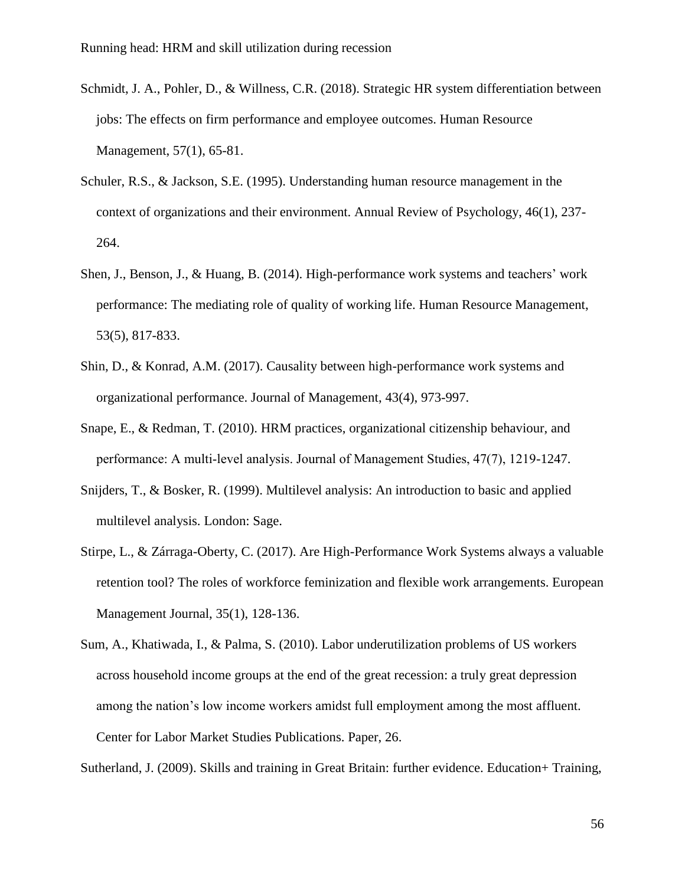- Schmidt, J. A., Pohler, D., & Willness, C.R. (2018). Strategic HR system differentiation between jobs: The effects on firm performance and employee outcomes. Human Resource Management, 57(1), 65-81.
- Schuler, R.S., & Jackson, S.E. (1995). Understanding human resource management in the context of organizations and their environment. Annual Review of Psychology, 46(1), 237- 264.
- Shen, J., Benson, J., & Huang, B. (2014). High-performance work systems and teachers' work performance: The mediating role of quality of working life. Human Resource Management, 53(5), 817-833.
- Shin, D., & Konrad, A.M. (2017). Causality between high-performance work systems and organizational performance. Journal of Management, 43(4), 973-997.
- Snape, E., & Redman, T. (2010). HRM practices, organizational citizenship behaviour, and performance: A multi‐level analysis. Journal of Management Studies, 47(7), 1219-1247.
- Snijders, T., & Bosker, R. (1999). Multilevel analysis: An introduction to basic and applied multilevel analysis. London: Sage.
- Stirpe, L., & Zárraga-Oberty, C. (2017). Are High-Performance Work Systems always a valuable retention tool? The roles of workforce feminization and flexible work arrangements. European Management Journal, 35(1), 128-136.
- Sum, A., Khatiwada, I., & Palma, S. (2010). Labor underutilization problems of US workers across household income groups at the end of the great recession: a truly great depression among the nation's low income workers amidst full employment among the most affluent. Center for Labor Market Studies Publications. Paper, 26.

Sutherland, J. (2009). Skills and training in Great Britain: further evidence. Education+ Training,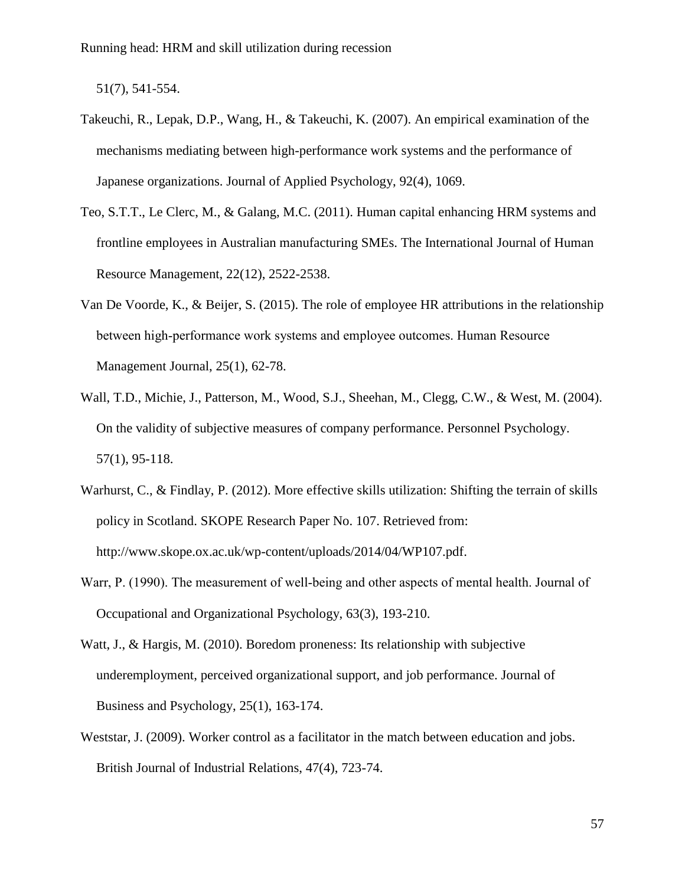51(7), 541-554.

- Takeuchi, R., Lepak, D.P., Wang, H., & Takeuchi, K. (2007). An empirical examination of the mechanisms mediating between high-performance work systems and the performance of Japanese organizations. Journal of Applied Psychology, 92(4), 1069.
- Teo, S.T.T., Le Clerc, M., & Galang, M.C. (2011). Human capital enhancing HRM systems and frontline employees in Australian manufacturing SMEs. The International Journal of Human Resource Management, 22(12), 2522-2538.
- Van De Voorde, K., & Beijer, S. (2015). The role of employee HR attributions in the relationship between high-performance work systems and employee outcomes. Human Resource Management Journal, 25(1), 62-78.
- Wall, T.D., Michie, J., Patterson, M., Wood, S.J., Sheehan, M., Clegg, C.W., & West, M. (2004). On the validity of subjective measures of company performance. Personnel Psychology. 57(1), 95-118.
- Warhurst, C., & Findlay, P. (2012). More effective skills utilization: Shifting the terrain of skills policy in Scotland. SKOPE Research Paper No. 107. Retrieved from: http://www.skope.ox.ac.uk/wp-content/uploads/2014/04/WP107.pdf.
- Warr, P. (1990). The measurement of well-being and other aspects of mental health. Journal of Occupational and Organizational Psychology, 63(3), 193-210.
- Watt, J., & Hargis, M. (2010). Boredom proneness: Its relationship with subjective underemployment, perceived organizational support, and job performance. Journal of Business and Psychology, 25(1), 163-174.
- Weststar, J. (2009). Worker control as a facilitator in the match between education and jobs. British Journal of Industrial Relations, 47(4), 723-74.